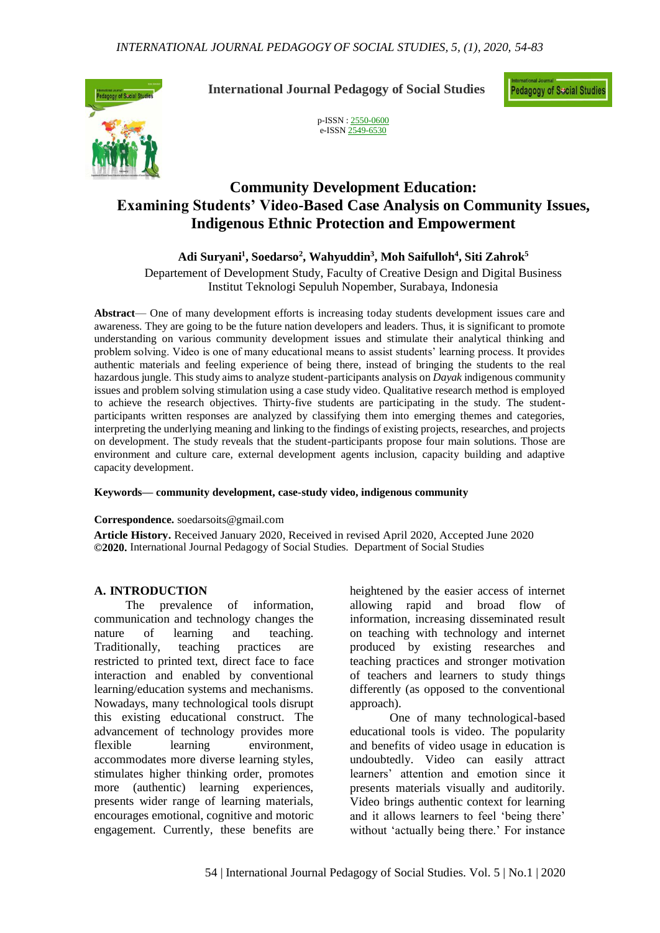

**International Journal Pedagogy of Social Studies**

**Pedagogy of Secial Studies** 

p-ISSN : [2550-0600](http://u.lipi.go.id/1488284460) e-ISS[N 2549-6530](http://u.lipi.go.id/1484553327)

# **Community Development Education: Examining Students' Video-Based Case Analysis on Community Issues, Indigenous Ethnic Protection and Empowerment**

**Adi Suryani<sup>1</sup> , Soedarso<sup>2</sup> , Wahyuddin<sup>3</sup> , Moh Saifulloh<sup>4</sup> , Siti Zahrok<sup>5</sup>**

Departement of Development Study, Faculty of Creative Design and Digital Business Institut Teknologi Sepuluh Nopember, Surabaya, Indonesia

**Abstract**— One of many development efforts is increasing today students development issues care and awareness. They are going to be the future nation developers and leaders. Thus, it is significant to promote understanding on various community development issues and stimulate their analytical thinking and problem solving. Video is one of many educational means to assist students' learning process. It provides authentic materials and feeling experience of being there, instead of bringing the students to the real hazardous jungle. This study aims to analyze student-participants analysis on *Dayak* indigenous community issues and problem solving stimulation using a case study video. Qualitative research method is employed to achieve the research objectives. Thirty-five students are participating in the study. The studentparticipants written responses are analyzed by classifying them into emerging themes and categories, interpreting the underlying meaning and linking to the findings of existing projects, researches, and projects on development. The study reveals that the student-participants propose four main solutions. Those are environment and culture care, external development agents inclusion, capacity building and adaptive capacity development.

#### **Keywords— community development, case-study video, indigenous community**

### **Correspondence.** soedarsoits@gmail.com

**Article History.** Received January 2020, Received in revised April 2020, Accepted June 2020 **©2020.** International Journal Pedagogy of Social Studies. Department of Social Studies

### **A. INTRODUCTION**

The prevalence of information, communication and technology changes the nature of learning and teaching. Traditionally, teaching practices are restricted to printed text, direct face to face interaction and enabled by conventional learning/education systems and mechanisms. Nowadays, many technological tools disrupt this existing educational construct. The advancement of technology provides more flexible learning environment, accommodates more diverse learning styles, stimulates higher thinking order, promotes more (authentic) learning experiences, presents wider range of learning materials, encourages emotional, cognitive and motoric engagement. Currently, these benefits are heightened by the easier access of internet allowing rapid and broad flow of information, increasing disseminated result on teaching with technology and internet produced by existing researches and teaching practices and stronger motivation of teachers and learners to study things differently (as opposed to the conventional approach).

One of many technological-based educational tools is video. The popularity and benefits of video usage in education is undoubtedly. Video can easily attract learners' attention and emotion since it presents materials visually and auditorily. Video brings authentic context for learning and it allows learners to feel 'being there' without 'actually being there.' For instance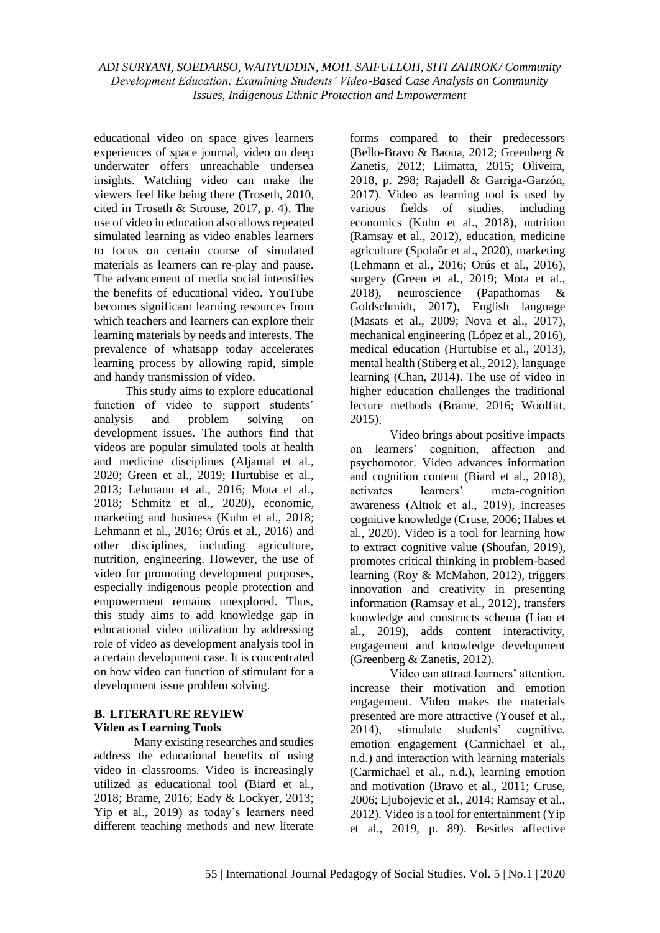educational video on space gives learners experiences of space journal, video on deep underwater offers unreachable undersea insights. Watching video can make the viewers feel like being there (Troseth, 2010, cited in Troseth & Strouse, 2017, p. 4). The use of video in education also allows repeated simulated learning as video enables learners to focus on certain course of simulated materials as learners can re-play and pause. The advancement of media social intensifies the benefits of educational video. YouTube becomes significant learning resources from which teachers and learners can explore their learning materials by needs and interests. The prevalence of whatsapp today accelerates learning process by allowing rapid, simple and handy transmission of video.

This study aims to explore educational function of video to support students' analysis and problem solving on development issues. The authors find that videos are popular simulated tools at health and medicine disciplines (Aljamal et al., 2020; Green et al., 2019; Hurtubise et al., 2013; Lehmann et al., 2016; Mota et al., 2018; Schmitz et al., 2020), economic, marketing and business (Kuhn et al., 2018; Lehmann et al., 2016; Orús et al., 2016) and other disciplines, including agriculture, nutrition, engineering. However, the use of video for promoting development purposes, especially indigenous people protection and empowerment remains unexplored. Thus, this study aims to add knowledge gap in educational video utilization by addressing role of video as development analysis tool in a certain development case. It is concentrated on how video can function of stimulant for a development issue problem solving.

# **B. LITERATURE REVIEW Video as Learning Tools**

Many existing researches and studies address the educational benefits of using video in classrooms. Video is increasingly utilized as educational tool (Biard et al., 2018; Brame, 2016; Eady & Lockyer, 2013; Yip et al., 2019) as today's learners need different teaching methods and new literate forms compared to their predecessors (Bello-Bravo & Baoua, 2012; Greenberg & Zanetis, 2012; Liimatta, 2015; Oliveira, 2018, p. 298; Rajadell & Garriga-Garzón, 2017). Video as learning tool is used by various fields of studies, including economics (Kuhn et al., 2018), nutrition (Ramsay et al., 2012), education, medicine agriculture (Spolaôr et al., 2020), marketing (Lehmann et al., 2016; Orús et al., 2016), surgery (Green et al., 2019; Mota et al., 2018), neuroscience (Papathomas & Goldschmidt, 2017), English language (Masats et al., 2009; Nova et al., 2017), mechanical engineering (López et al., 2016), medical education (Hurtubise et al., 2013), mental health (Stiberg et al., 2012), language learning (Chan, 2014). The use of video in higher education challenges the traditional lecture methods (Brame, 2016; Woolfitt, 2015).

Video brings about positive impacts on learners' cognition, affection and psychomotor. Video advances information and cognition content (Biard et al., 2018), activates learners' meta-cognition awareness (Altıok et al., 2019), increases cognitive knowledge (Cruse, 2006; Habes et al., 2020). Video is a tool for learning how to extract cognitive value (Shoufan, 2019), promotes critical thinking in problem-based learning (Roy & McMahon, 2012), triggers innovation and creativity in presenting information (Ramsay et al., 2012), transfers knowledge and constructs schema (Liao et al., 2019), adds content interactivity, engagement and knowledge development (Greenberg & Zanetis, 2012).

Video can attract learners' attention, increase their motivation and emotion engagement. Video makes the materials presented are more attractive (Yousef et al., 2014), stimulate students' cognitive, emotion engagement (Carmichael et al., n.d.) and interaction with learning materials (Carmichael et al., n.d.), learning emotion and motivation (Bravo et al., 2011; Cruse, 2006; Ljubojevic et al., 2014; Ramsay et al., 2012). Video is a tool for entertainment (Yip et al., 2019, p. 89). Besides affective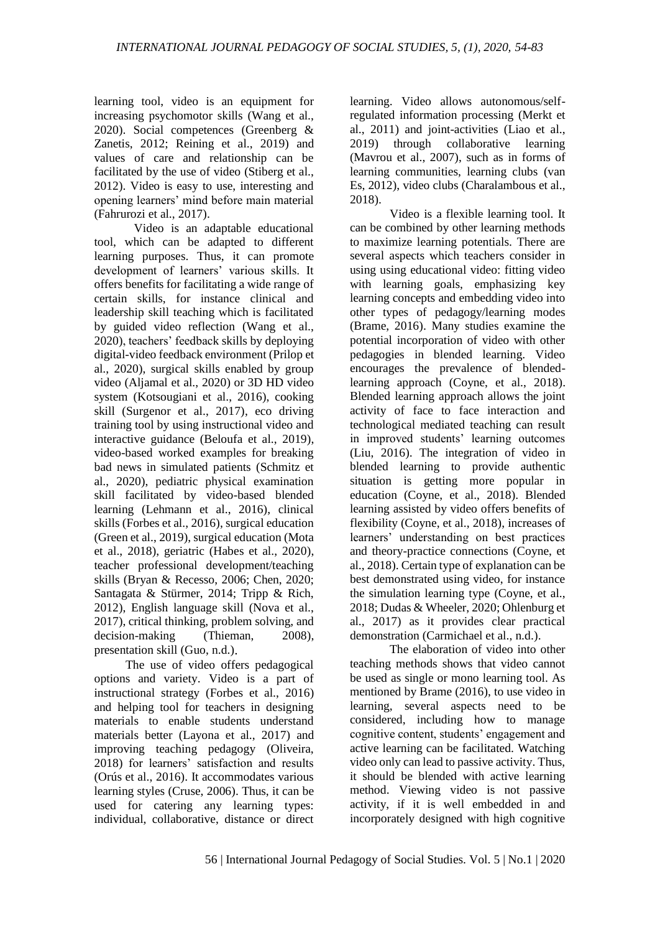learning tool, video is an equipment for increasing psychomotor skills (Wang et al., 2020). Social competences (Greenberg & Zanetis, 2012; Reining et al., 2019) and values of care and relationship can be facilitated by the use of video (Stiberg et al., 2012). Video is easy to use, interesting and opening learners' mind before main material (Fahrurozi et al., 2017).

Video is an adaptable educational tool, which can be adapted to different learning purposes. Thus, it can promote development of learners' various skills. It offers benefits for facilitating a wide range of certain skills, for instance clinical and leadership skill teaching which is facilitated by guided video reflection (Wang et al., 2020), teachers' feedback skills by deploying digital-video feedback environment (Prilop et al., 2020), surgical skills enabled by group video (Aljamal et al., 2020) or 3D HD video system (Kotsougiani et al., 2016), cooking skill (Surgenor et al., 2017), eco driving training tool by using instructional video and interactive guidance (Beloufa et al., 2019), video-based worked examples for breaking bad news in simulated patients (Schmitz et al., 2020), pediatric physical examination skill facilitated by video-based blended learning (Lehmann et al., 2016), clinical skills (Forbes et al., 2016), surgical education (Green et al., 2019), surgical education (Mota et al., 2018), geriatric (Habes et al., 2020), teacher professional development/teaching skills (Bryan & Recesso, 2006; Chen, 2020; Santagata & Stürmer, 2014; Tripp & Rich, 2012), English language skill (Nova et al., 2017), critical thinking, problem solving, and decision-making (Thieman, 2008), presentation skill (Guo, n.d.).

The use of video offers pedagogical options and variety. Video is a part of instructional strategy (Forbes et al., 2016) and helping tool for teachers in designing materials to enable students understand materials better (Layona et al., 2017) and improving teaching pedagogy (Oliveira, 2018) for learners' satisfaction and results (Orús et al., 2016). It accommodates various learning styles (Cruse, 2006). Thus, it can be used for catering any learning types: individual, collaborative, distance or direct learning. Video allows autonomous/selfregulated information processing (Merkt et al., 2011) and joint-activities (Liao et al., 2019) through collaborative learning (Mavrou et al., 2007), such as in forms of learning communities, learning clubs (van Es, 2012), video clubs (Charalambous et al., 2018).

Video is a flexible learning tool. It can be combined by other learning methods to maximize learning potentials. There are several aspects which teachers consider in using using educational video: fitting video with learning goals, emphasizing key learning concepts and embedding video into other types of pedagogy/learning modes (Brame, 2016). Many studies examine the potential incorporation of video with other pedagogies in blended learning. Video encourages the prevalence of blendedlearning approach (Coyne, et al., 2018). Blended learning approach allows the joint activity of face to face interaction and technological mediated teaching can result in improved students' learning outcomes (Liu, 2016). The integration of video in blended learning to provide authentic situation is getting more popular in education (Coyne, et al., 2018). Blended learning assisted by video offers benefits of flexibility (Coyne, et al., 2018), increases of learners' understanding on best practices and theory-practice connections (Coyne, et al., 2018). Certain type of explanation can be best demonstrated using video, for instance the simulation learning type (Coyne, et al., 2018; Dudas & Wheeler, 2020; Ohlenburg et al., 2017) as it provides clear practical demonstration (Carmichael et al., n.d.).

The elaboration of video into other teaching methods shows that video cannot be used as single or mono learning tool. As mentioned by Brame (2016), to use video in learning, several aspects need to be considered, including how to manage cognitive content, students' engagement and active learning can be facilitated. Watching video only can lead to passive activity. Thus, it should be blended with active learning method. Viewing video is not passive activity, if it is well embedded in and incorporately designed with high cognitive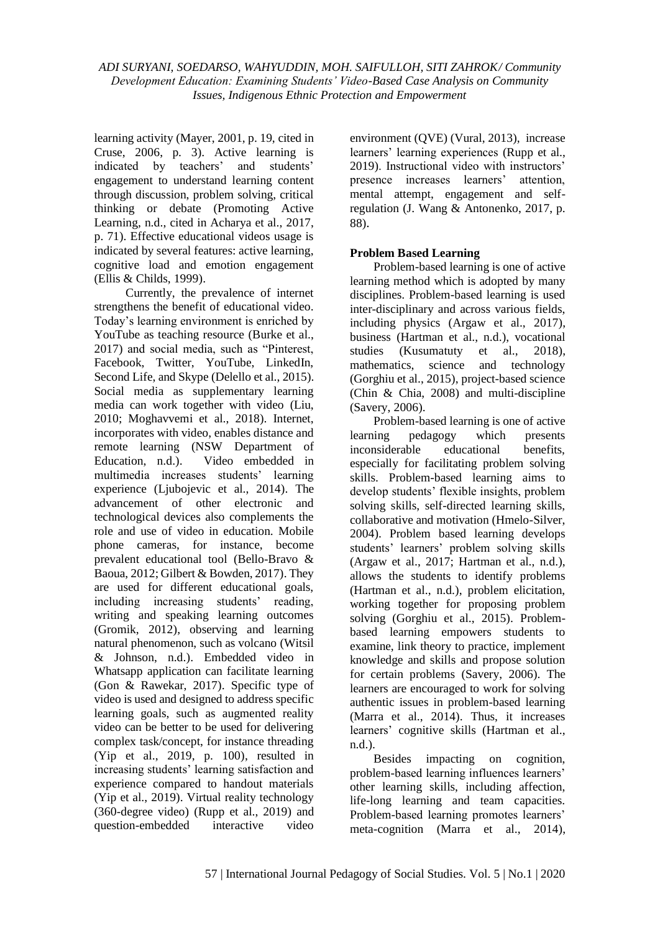learning activity (Mayer, 2001, p. 19, cited in Cruse, 2006, p. 3). Active learning is indicated by teachers' and students' engagement to understand learning content through discussion, problem solving, critical thinking or debate (Promoting Active Learning, n.d., cited in Acharya et al., 2017, p. 71). Effective educational videos usage is indicated by several features: active learning, cognitive load and emotion engagement (Ellis & Childs, 1999).

Currently, the prevalence of internet strengthens the benefit of educational video. Today's learning environment is enriched by YouTube as teaching resource (Burke et al., 2017) and social media, such as "Pinterest, Facebook, Twitter, YouTube, LinkedIn, Second Life, and Skype (Delello et al., 2015). Social media as supplementary learning media can work together with video (Liu, 2010; Moghavvemi et al., 2018). Internet, incorporates with video, enables distance and remote learning (NSW Department of Education, n.d.). Video embedded in multimedia increases students' learning experience (Ljubojevic et al., 2014). The advancement of other electronic and technological devices also complements the role and use of video in education. Mobile phone cameras, for instance, become prevalent educational tool (Bello-Bravo & Baoua, 2012; Gilbert & Bowden, 2017). They are used for different educational goals, including increasing students' reading, writing and speaking learning outcomes (Gromik, 2012), observing and learning natural phenomenon, such as volcano (Witsil & Johnson, n.d.). Embedded video in Whatsapp application can facilitate learning (Gon & Rawekar, 2017). Specific type of video is used and designed to address specific learning goals, such as augmented reality video can be better to be used for delivering complex task/concept, for instance threading (Yip et al., 2019, p. 100), resulted in increasing students' learning satisfaction and experience compared to handout materials (Yip et al., 2019). Virtual reality technology (360-degree video) (Rupp et al., 2019) and question-embedded interactive video environment (QVE) (Vural, 2013), increase learners' learning experiences (Rupp et al., 2019). Instructional video with instructors' presence increases learners' attention, mental attempt, engagement and selfregulation (J. Wang & Antonenko, 2017, p. 88).

### **Problem Based Learning**

Problem-based learning is one of active learning method which is adopted by many disciplines. Problem-based learning is used inter-disciplinary and across various fields, including physics (Argaw et al., 2017), business (Hartman et al., n.d.), vocational studies (Kusumatuty et al., 2018), mathematics, science and technology (Gorghiu et al., 2015), project-based science (Chin & Chia, 2008) and multi-discipline (Savery, 2006).

Problem-based learning is one of active learning pedagogy which presents inconsiderable educational benefits, especially for facilitating problem solving skills. Problem-based learning aims to develop students' flexible insights, problem solving skills, self-directed learning skills, collaborative and motivation (Hmelo-Silver, 2004). Problem based learning develops students' learners' problem solving skills (Argaw et al., 2017; Hartman et al., n.d.), allows the students to identify problems (Hartman et al., n.d.), problem elicitation, working together for proposing problem solving (Gorghiu et al., 2015). Problembased learning empowers students to examine, link theory to practice, implement knowledge and skills and propose solution for certain problems (Savery, 2006). The learners are encouraged to work for solving authentic issues in problem-based learning (Marra et al., 2014). Thus, it increases learners' cognitive skills (Hartman et al., n.d.).

Besides impacting on cognition, problem-based learning influences learners' other learning skills, including affection, life-long learning and team capacities. Problem-based learning promotes learners' meta-cognition (Marra et al., 2014),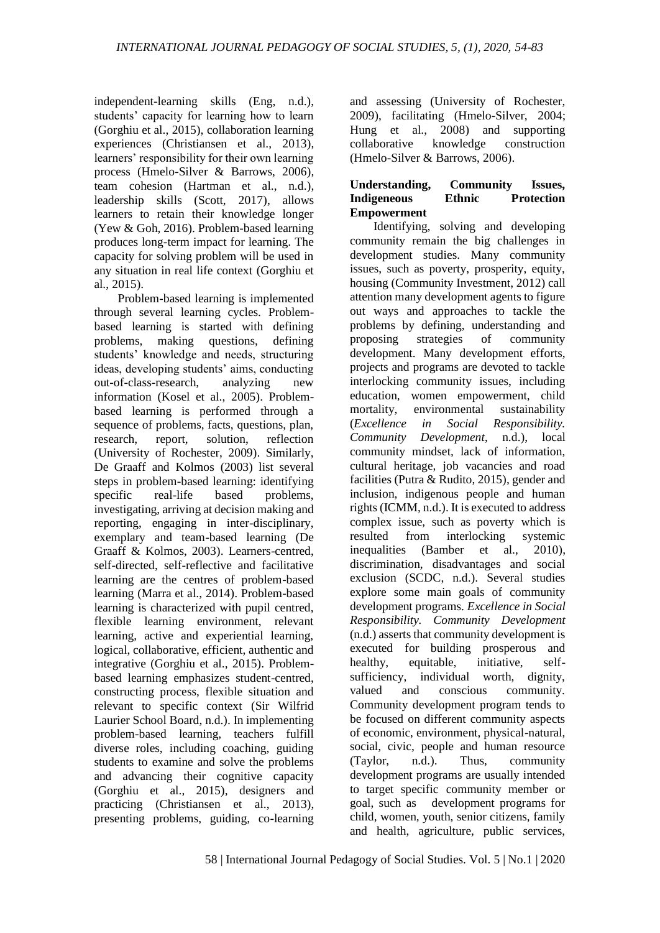independent-learning skills (Eng, n.d.), students' capacity for learning how to learn (Gorghiu et al., 2015), collaboration learning experiences (Christiansen et al., 2013), learners' responsibility for their own learning process (Hmelo-Silver & Barrows, 2006), team cohesion (Hartman et al., n.d.), leadership skills (Scott, 2017), allows learners to retain their knowledge longer (Yew & Goh, 2016). Problem-based learning produces long-term impact for learning. The capacity for solving problem will be used in any situation in real life context (Gorghiu et al., 2015).

Problem-based learning is implemented through several learning cycles. Problembased learning is started with defining problems, making questions, defining students' knowledge and needs, structuring ideas, developing students' aims, conducting out-of-class-research, analyzing new information (Kosel et al., 2005). Problembased learning is performed through a sequence of problems, facts, questions, plan, research, report, solution, reflection (University of Rochester, 2009). Similarly, De Graaff and Kolmos (2003) list several steps in problem-based learning: identifying specific real-life based problems, investigating, arriving at decision making and reporting, engaging in inter-disciplinary, exemplary and team-based learning (De Graaff & Kolmos, 2003). Learners-centred, self-directed, self-reflective and facilitative learning are the centres of problem-based learning (Marra et al., 2014). Problem-based learning is characterized with pupil centred, flexible learning environment, relevant learning, active and experiential learning, logical, collaborative, efficient, authentic and integrative (Gorghiu et al., 2015). Problembased learning emphasizes student-centred, constructing process, flexible situation and relevant to specific context (Sir Wilfrid Laurier School Board, n.d.). In implementing problem-based learning, teachers fulfill diverse roles, including coaching, guiding students to examine and solve the problems and advancing their cognitive capacity (Gorghiu et al., 2015), designers and practicing (Christiansen et al., 2013), presenting problems, guiding, co-learning and assessing (University of Rochester, 2009), facilitating (Hmelo-Silver, 2004; Hung et al., 2008) and supporting collaborative knowledge construction (Hmelo-Silver & Barrows, 2006).

# **Understanding, Community Issues, Indigeneous Ethnic Protection Empowerment**

Identifying, solving and developing community remain the big challenges in development studies. Many community issues, such as poverty, prosperity, equity, housing (Community Investment, 2012) call attention many development agents to figure out ways and approaches to tackle the problems by defining, understanding and proposing strategies of community development. Many development efforts, projects and programs are devoted to tackle interlocking community issues, including education, women empowerment, child mortality, environmental sustainability (*Excellence in Social Responsibility. Community Development*, n.d.), local community mindset, lack of information, cultural heritage, job vacancies and road facilities (Putra & Rudito, 2015), gender and inclusion, indigenous people and human rights (ICMM, n.d.). It is executed to address complex issue, such as poverty which is resulted from interlocking systemic inequalities (Bamber et al., 2010), discrimination, disadvantages and social exclusion (SCDC, n.d.). Several studies explore some main goals of community development programs. *Excellence in Social Responsibility. Community Development* (n.d.) asserts that community development is executed for building prosperous and healthy, equitable, initiative, selfsufficiency, individual worth, dignity, valued and conscious community. Community development program tends to be focused on different community aspects of economic, environment, physical-natural, social, civic, people and human resource (Taylor, n.d.). Thus, community development programs are usually intended to target specific community member or goal, such as development programs for child, women, youth, senior citizens, family and health, agriculture, public services,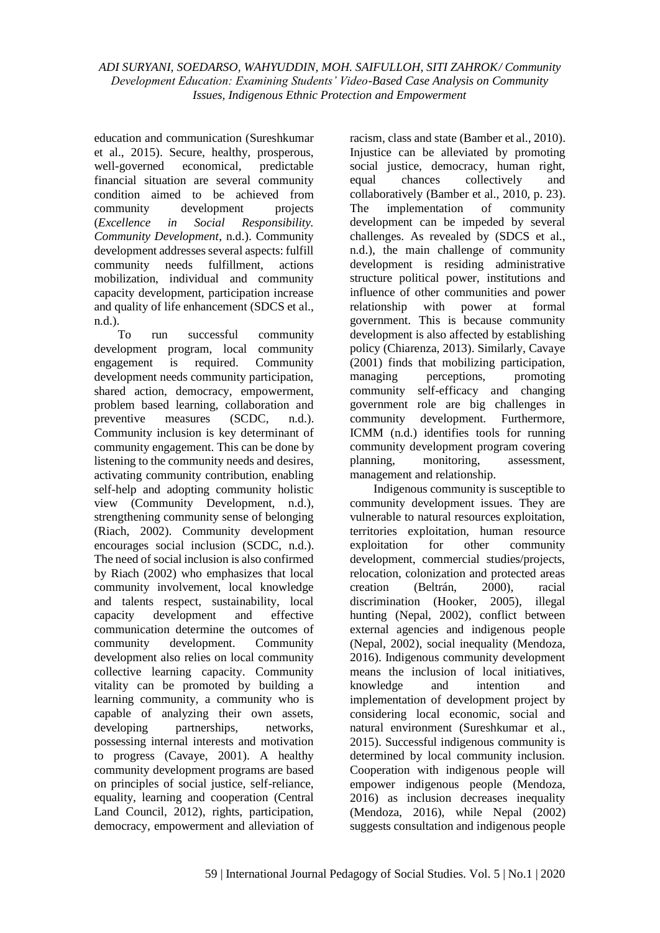education and communication (Sureshkumar et al., 2015). Secure, healthy, prosperous, well-governed economical, predictable financial situation are several community condition aimed to be achieved from community development projects (*Excellence in Social Responsibility. Community Development*, n.d.). Community development addresses several aspects: fulfill community needs fulfillment, actions mobilization, individual and community capacity development, participation increase and quality of life enhancement (SDCS et al., n.d.).

To run successful community development program, local community engagement is required. Community development needs community participation, shared action, democracy, empowerment, problem based learning, collaboration and preventive measures (SCDC, n.d.). Community inclusion is key determinant of community engagement. This can be done by listening to the community needs and desires, activating community contribution, enabling self-help and adopting community holistic view (Community Development, n.d.), strengthening community sense of belonging (Riach, 2002). Community development encourages social inclusion (SCDC, n.d.). The need of social inclusion is also confirmed by Riach (2002) who emphasizes that local community involvement, local knowledge and talents respect, sustainability, local capacity development and effective communication determine the outcomes of community development. Community development also relies on local community collective learning capacity. Community vitality can be promoted by building a learning community, a community who is capable of analyzing their own assets, developing partnerships, networks, possessing internal interests and motivation to progress (Cavaye, 2001). A healthy community development programs are based on principles of social justice, self-reliance, equality, learning and cooperation (Central Land Council, 2012), rights, participation, democracy, empowerment and alleviation of racism, class and state (Bamber et al., 2010). Injustice can be alleviated by promoting social justice, democracy, human right, equal chances collectively and collaboratively (Bamber et al., 2010, p. 23). The implementation of community development can be impeded by several challenges. As revealed by (SDCS et al., n.d.), the main challenge of community development is residing administrative structure political power, institutions and influence of other communities and power relationship with power at formal government. This is because community development is also affected by establishing policy (Chiarenza, 2013). Similarly, Cavaye (2001) finds that mobilizing participation, managing perceptions, promoting community self-efficacy and changing government role are big challenges in community development. Furthermore, ICMM (n.d.) identifies tools for running community development program covering planning, monitoring, assessment, management and relationship.

Indigenous community is susceptible to community development issues. They are vulnerable to natural resources exploitation, territories exploitation, human resource exploitation for other community development, commercial studies/projects, relocation, colonization and protected areas creation (Beltrán, 2000), racial discrimination (Hooker, 2005), illegal hunting (Nepal, 2002), conflict between external agencies and indigenous people (Nepal, 2002), social inequality (Mendoza, 2016). Indigenous community development means the inclusion of local initiatives, knowledge and intention and implementation of development project by considering local economic, social and natural environment (Sureshkumar et al., 2015). Successful indigenous community is determined by local community inclusion. Cooperation with indigenous people will empower indigenous people (Mendoza, 2016) as inclusion decreases inequality (Mendoza, 2016), while Nepal (2002) suggests consultation and indigenous people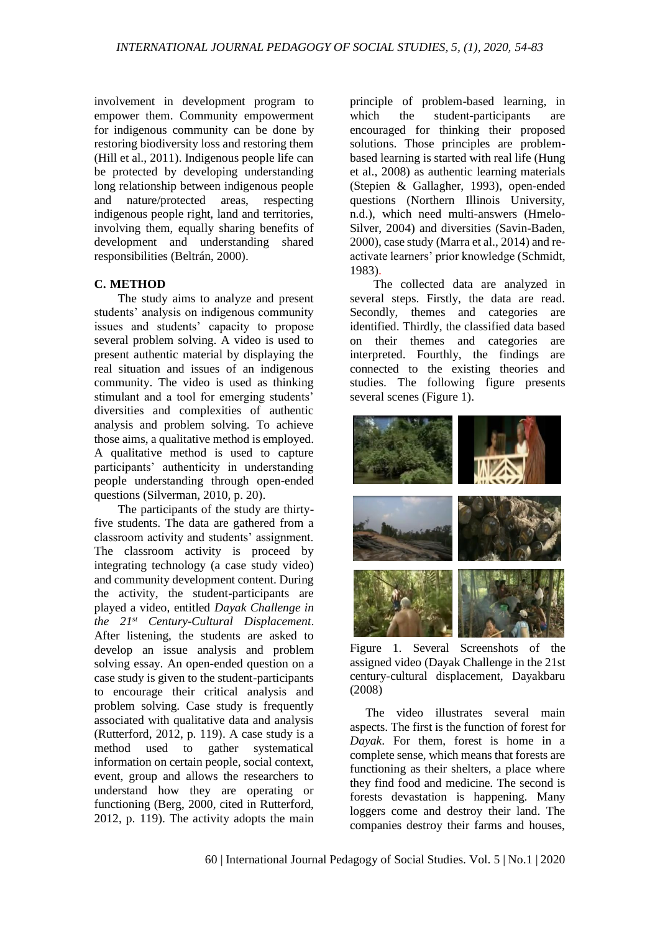involvement in development program to empower them. Community empowerment for indigenous community can be done by restoring biodiversity loss and restoring them (Hill et al., 2011). Indigenous people life can be protected by developing understanding long relationship between indigenous people and nature/protected areas, respecting indigenous people right, land and territories, involving them, equally sharing benefits of development and understanding shared responsibilities (Beltrán, 2000).

### **C. METHOD**

The study aims to analyze and present students' analysis on indigenous community issues and students' capacity to propose several problem solving. A video is used to present authentic material by displaying the real situation and issues of an indigenous community. The video is used as thinking stimulant and a tool for emerging students' diversities and complexities of authentic analysis and problem solving. To achieve those aims, a qualitative method is employed. A qualitative method is used to capture participants' authenticity in understanding people understanding through open-ended questions (Silverman, 2010, p. 20).

The participants of the study are thirtyfive students. The data are gathered from a classroom activity and students' assignment. The classroom activity is proceed by integrating technology (a case study video) and community development content. During the activity, the student-participants are played a video, entitled *Dayak Challenge in the 21st Century-Cultural Displacement*. After listening, the students are asked to develop an issue analysis and problem solving essay. An open-ended question on a case study is given to the student-participants to encourage their critical analysis and problem solving. Case study is frequently associated with qualitative data and analysis (Rutterford, 2012, p. 119). A case study is a method used to gather systematical information on certain people, social context, event, group and allows the researchers to understand how they are operating or functioning (Berg, 2000, cited in Rutterford, 2012, p. 119). The activity adopts the main principle of problem-based learning, in which the student-participants are encouraged for thinking their proposed solutions. Those principles are problembased learning is started with real life (Hung et al., 2008) as authentic learning materials (Stepien & Gallagher, 1993), open-ended questions (Northern Illinois University, n.d.), which need multi-answers (Hmelo-Silver, 2004) and diversities (Savin-Baden, 2000), case study (Marra et al., 2014) and reactivate learners' prior knowledge (Schmidt, 1983).

The collected data are analyzed in several steps. Firstly, the data are read. Secondly, themes and categories are identified. Thirdly, the classified data based on their themes and categories are interpreted. Fourthly, the findings are connected to the existing theories and studies. The following figure presents several scenes (Figure 1).



Figure 1. Several Screenshots of the assigned video (Dayak Challenge in the 21st century-cultural displacement, Dayakbaru (2008)

The video illustrates several main aspects. The first is the function of forest for *Dayak*. For them, forest is home in a complete sense, which means that forests are functioning as their shelters, a place where they find food and medicine. The second is forests devastation is happening. Many loggers come and destroy their land. The companies destroy their farms and houses,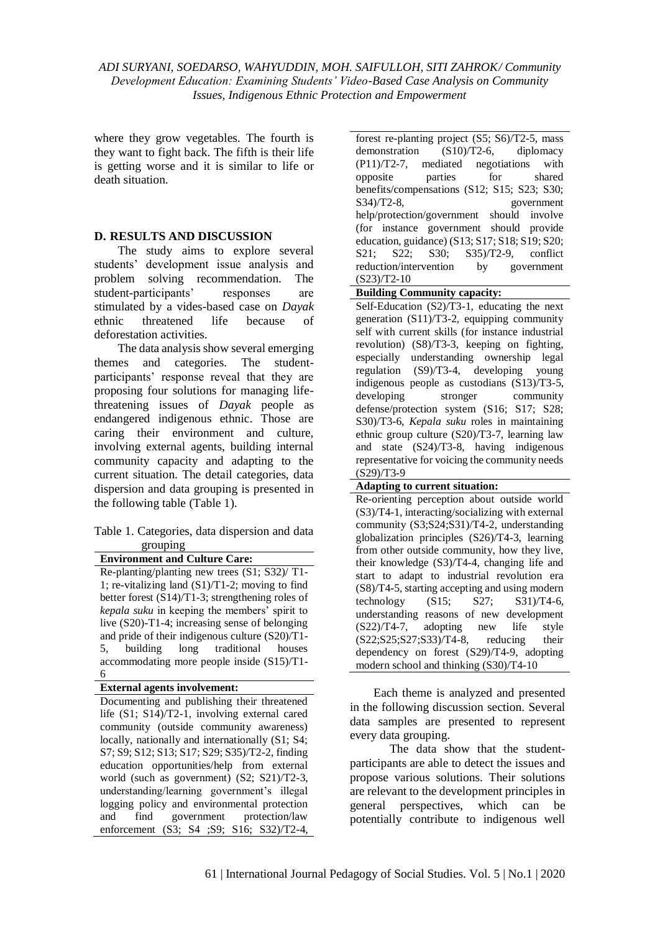where they grow vegetables. The fourth is they want to fight back. The fifth is their life is getting worse and it is similar to life or death situation.

### **D. RESULTS AND DISCUSSION**

The study aims to explore several students' development issue analysis and problem solving recommendation. The student-participants' responses are stimulated by a vides-based case on *Dayak* ethnic threatened life because of deforestation activities.

The data analysis show several emerging themes and categories. The studentparticipants' response reveal that they are proposing four solutions for managing lifethreatening issues of *Dayak* people as endangered indigenous ethnic. Those are caring their environment and culture, involving external agents, building internal community capacity and adapting to the current situation. The detail categories, data dispersion and data grouping is presented in the following table (Table 1).

### Table 1. Categories, data dispersion and data grouping

**Environment and Culture Care:** Re-planting/planting new trees (S1; S32)/ T1- 1; re-vitalizing land (S1)/T1-2; moving to find better forest (S14)/T1-3; strengthening roles of *kepala suku* in keeping the members' spirit to live (S20)-T1-4; increasing sense of belonging and pride of their indigenous culture (S20)/T1- 5, building long traditional houses accommodating more people inside (S15)/T1- 6

**External agents involvement:**

Documenting and publishing their threatened life (S1; S14)/T2-1, involving external cared community (outside community awareness) locally, nationally and internationally (S1; S4; S7; S9; S12; S13; S17; S29; S35)/T2-2, finding education opportunities/help from external world (such as government) (S2; S21)/T2-3, understanding/learning government's illegal logging policy and environmental protection and find government protection/law enforcement (S3; S4 ;S9; S16; S32)/T2-4,

forest re-planting project (S5; S6)/T2-5, mass demonstration (S10)/T2-6, diplomacy (P11)/T2-7, mediated negotiations with opposite parties for shared benefits/compensations (S12; S15; S23; S30; S34)/T2-8, government help/protection/government should involve (for instance government should provide education, guidance) (S13; S17; S18; S19; S20; S21; S22; S30; S35)/T2-9, conflict reduction/intervention by government (S23)/T2-10

**Building Community capacity:**

Self-Education (S2)/T3-1, educating the next generation (S11)/T3-2, equipping community self with current skills (for instance industrial revolution) (S8)/T3-3, keeping on fighting, especially understanding ownership legal regulation (S9)/T3-4, developing young indigenous people as custodians (S13)/T3-5, developing stronger community defense/protection system (S16; S17; S28; S30)/T3-6, *Kepala suku* roles in maintaining ethnic group culture (S20)/T3-7, learning law and state (S24)/T3-8, having indigenous representative for voicing the community needs (S29)/T3-9

#### **Adapting to current situation:**

Re-orienting perception about outside world (S3)/T4-1, interacting/socializing with external community (S3;S24;S31)/T4-2, understanding globalization principles (S26)/T4-3, learning from other outside community, how they live, their knowledge (S3)/T4-4, changing life and start to adapt to industrial revolution era (S8)/T4-5, starting accepting and using modern technology (S15; S27; S31)/T4-6, understanding reasons of new development (S22)/T4-7, adopting new life style  $(S22; S25; S27; S33)/T4-8$ , reducing their dependency on forest (S29)/T4-9, adopting modern school and thinking (S30)/T4-10

Each theme is analyzed and presented in the following discussion section. Several data samples are presented to represent every data grouping.

The data show that the studentparticipants are able to detect the issues and propose various solutions. Their solutions are relevant to the development principles in general perspectives, which can be potentially contribute to indigenous well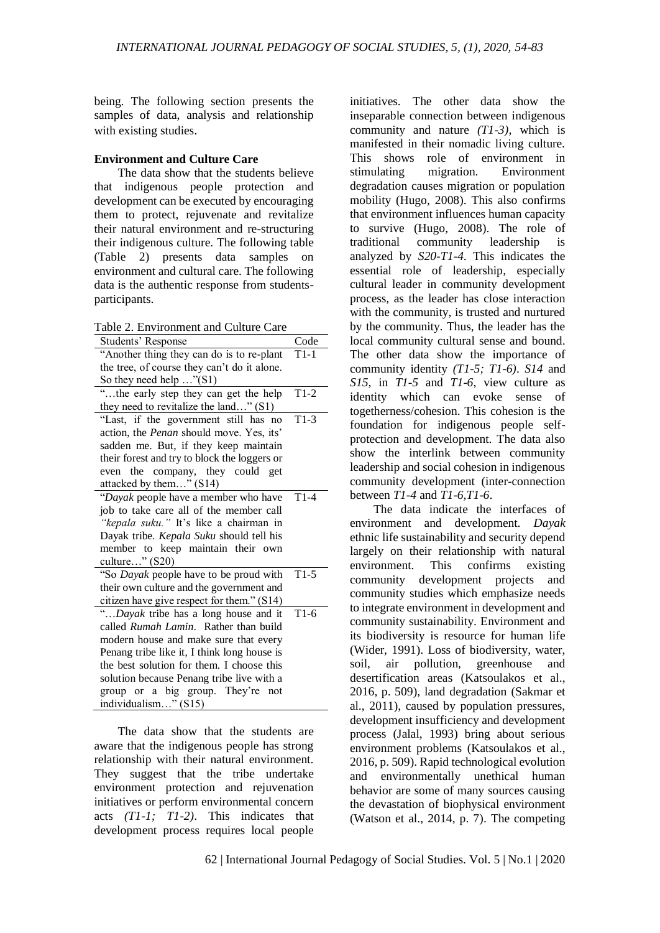being. The following section presents the samples of data, analysis and relationship with existing studies.

### **Environment and Culture Care**

The data show that the students believe that indigenous people protection and development can be executed by encouraging them to protect, rejuvenate and revitalize their natural environment and re-structuring their indigenous culture. The following table (Table 2) presents data samples on environment and cultural care. The following data is the authentic response from studentsparticipants.

Table 2. Environment and Culture Care

| $4010$ 2. Environment and                     |        |
|-----------------------------------------------|--------|
| Students' Response                            | Code   |
| "Another thing they can do is to re-plant     | $T1-1$ |
| the tree, of course they can't do it alone.   |        |
| So they need help "(S1)                       |        |
| "the early step they can get the help         | $T1-2$ |
| they need to revitalize the land" (S1)        |        |
| "Last, if the government still has no         | $T1-3$ |
| action, the Penan should move. Yes, its'      |        |
| sadden me. But, if they keep maintain         |        |
| their forest and try to block the loggers or  |        |
| even the company, they could get              |        |
| attacked by them" (S14)                       |        |
| "Dayak people have a member who have          | $T1-4$ |
| job to take care all of the member call       |        |
| "kepala suku." It's like a chairman in        |        |
| Dayak tribe. Kepala Suku should tell his      |        |
| member to keep maintain their own             |        |
| culture" (S20)                                |        |
| "So Dayak people have to be proud with        | $T1-5$ |
| their own culture and the government and      |        |
| citizen have give respect for them." (S14)    |        |
| "Dayak tribe has a long house and it T1-6     |        |
| called <i>Rumah Lamin</i> . Rather than build |        |
| modern house and make sure that every         |        |
| Penang tribe like it, I think long house is   |        |
| the best solution for them. I choose this     |        |
| solution because Penang tribe live with a     |        |
| group or a big group. They're not             |        |
| individualism" (S15)                          |        |

The data show that the students are aware that the indigenous people has strong relationship with their natural environment. They suggest that the tribe undertake environment protection and rejuvenation initiatives or perform environmental concern acts *(T1-1; T1-2)*. This indicates that development process requires local people initiatives. The other data show the inseparable connection between indigenous community and nature *(T1-3)*, which is manifested in their nomadic living culture. This shows role of environment in stimulating migration. Environment degradation causes migration or population mobility (Hugo, 2008). This also confirms that environment influences human capacity to survive (Hugo, 2008). The role of traditional community leadership is analyzed by *S20-T1-4*. This indicates the essential role of leadership, especially cultural leader in community development process, as the leader has close interaction with the community, is trusted and nurtured by the community. Thus, the leader has the local community cultural sense and bound. The other data show the importance of community identity *(T1-5; T1-6)*. *S14* and *S15*, in *T1-5* and *T1-6*, view culture as identity which can evoke sense of togetherness/cohesion. This cohesion is the foundation for indigenous people selfprotection and development. The data also show the interlink between community leadership and social cohesion in indigenous community development (inter-connection between *T1-4* and *T1-6,T1-6*.

The data indicate the interfaces of environment and development. *Dayak* ethnic life sustainability and security depend largely on their relationship with natural environment. This confirms existing community development projects and community studies which emphasize needs to integrate environment in development and community sustainability. Environment and its biodiversity is resource for human life (Wider, 1991). Loss of biodiversity, water, soil, air pollution, greenhouse and desertification areas (Katsoulakos et al., 2016, p. 509), land degradation (Sakmar et al., 2011), caused by population pressures, development insufficiency and development process (Jalal, 1993) bring about serious environment problems (Katsoulakos et al., 2016, p. 509). Rapid technological evolution and environmentally unethical human behavior are some of many sources causing the devastation of biophysical environment (Watson et al., 2014, p. 7). The competing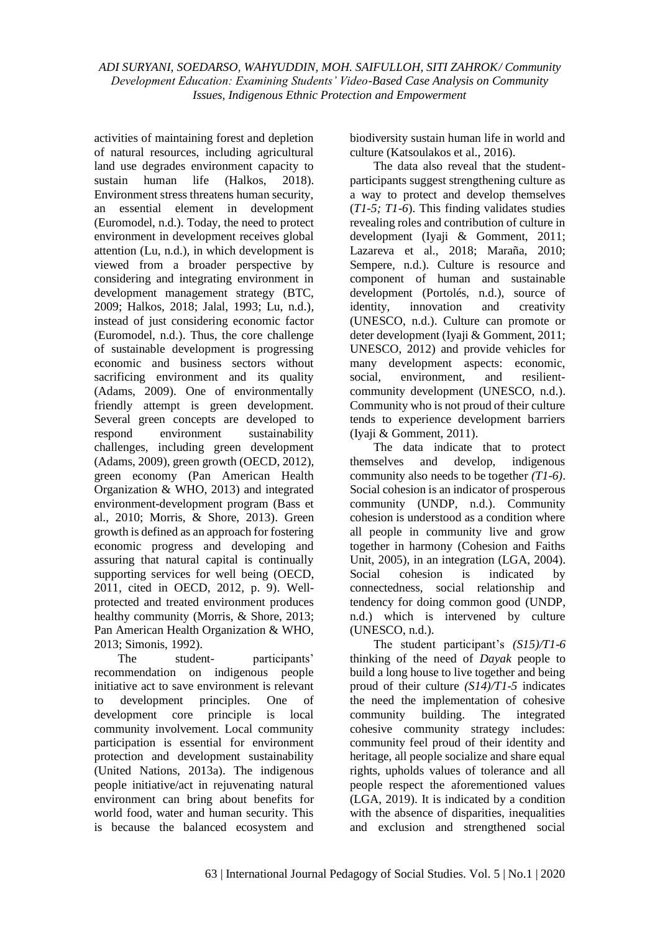activities of maintaining forest and depletion of natural resources, including agricultural land use degrades environment capacity to sustain human life (Halkos, 2018). Environment stress threatens human security, an essential element in development (Euromodel, n.d.). Today, the need to protect environment in development receives global attention (Lu, n.d.), in which development is viewed from a broader perspective by considering and integrating environment in development management strategy (BTC, 2009; Halkos, 2018; Jalal, 1993; Lu, n.d.), instead of just considering economic factor (Euromodel, n.d.). Thus, the core challenge of sustainable development is progressing economic and business sectors without sacrificing environment and its quality (Adams, 2009). One of environmentally friendly attempt is green development. Several green concepts are developed to respond environment sustainability challenges, including green development (Adams, 2009), green growth (OECD, 2012), green economy (Pan American Health Organization & WHO, 2013) and integrated environment-development program (Bass et al., 2010; Morris, & Shore, 2013). Green growth is defined as an approach for fostering economic progress and developing and assuring that natural capital is continually supporting services for well being (OECD, 2011, cited in OECD, 2012, p. 9). Wellprotected and treated environment produces healthy community (Morris, & Shore, 2013; Pan American Health Organization & WHO, 2013; Simonis, 1992).

The student- participants' recommendation on indigenous people initiative act to save environment is relevant to development principles. One of development core principle is local community involvement. Local community participation is essential for environment protection and development sustainability (United Nations, 2013a). The indigenous people initiative/act in rejuvenating natural environment can bring about benefits for world food, water and human security. This is because the balanced ecosystem and biodiversity sustain human life in world and culture (Katsoulakos et al., 2016).

The data also reveal that the studentparticipants suggest strengthening culture as a way to protect and develop themselves (*T1-5; T1-6*). This finding validates studies revealing roles and contribution of culture in development (Iyaji & Gomment, 2011; Lazareva et al., 2018; Maraña, 2010; Sempere, n.d.). Culture is resource and component of human and sustainable development (Portolés, n.d.), source of identity, innovation and creativity (UNESCO, n.d.). Culture can promote or deter development (Iyaji & Gomment, 2011; UNESCO, 2012) and provide vehicles for many development aspects: economic, social, environment, and resilientcommunity development (UNESCO, n.d.). Community who is not proud of their culture tends to experience development barriers (Iyaji & Gomment, 2011).

The data indicate that to protect themselves and develop, indigenous community also needs to be together *(T1-6)*. Social cohesion is an indicator of prosperous community (UNDP, n.d.). Community cohesion is understood as a condition where all people in community live and grow together in harmony (Cohesion and Faiths Unit, 2005), in an integration (LGA, 2004). Social cohesion is indicated by connectedness, social relationship and tendency for doing common good (UNDP, n.d.) which is intervened by culture (UNESCO, n.d.).

The student participant's *(S15)/T1-6* thinking of the need of *Dayak* people to build a long house to live together and being proud of their culture *(S14)/T1-5* indicates the need the implementation of cohesive community building. The integrated cohesive community strategy includes: community feel proud of their identity and heritage, all people socialize and share equal rights, upholds values of tolerance and all people respect the aforementioned values (LGA, 2019). It is indicated by a condition with the absence of disparities, inequalities and exclusion and strengthened social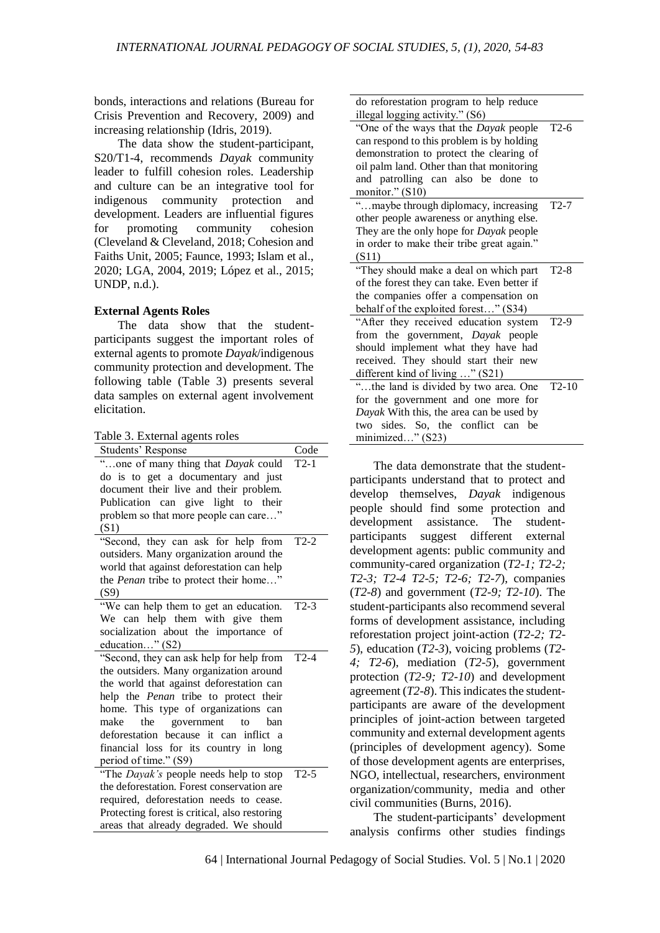bonds, interactions and relations (Bureau for Crisis Prevention and Recovery, 2009) and increasing relationship (Idris, 2019).

The data show the student-participant, S20/T1-4, recommends *Dayak* community leader to fulfill cohesion roles. Leadership and culture can be an integrative tool for indigenous community protection and development. Leaders are influential figures for promoting community cohesion (Cleveland & Cleveland, 2018; Cohesion and Faiths Unit, 2005; Faunce, 1993; Islam et al., 2020; LGA, 2004, 2019; López et al., 2015; UNDP, n.d.).

### **External Agents Roles**

The data show that the studentparticipants suggest the important roles of external agents to promote *Dayak*/indigenous community protection and development. The following table (Table 3) presents several data samples on external agent involvement elicitation.

Table 3. External agents roles

| <b>Students' Response</b>                     | Code   |
|-----------------------------------------------|--------|
| "one of many thing that Dayak could           | $T2-1$ |
| do is to get a documentary and just           |        |
| document their live and their problem.        |        |
| Publication can give light to their           |        |
| problem so that more people can care"         |        |
| (S1)                                          |        |
| "Second, they can ask for help from           | $T2-2$ |
| outsiders. Many organization around the       |        |
| world that against deforestation can help     |        |
| the Penan tribe to protect their home"        |        |
| (S9)                                          |        |
| "We can help them to get an education.        | $T2-3$ |
| We can help them with give them               |        |
| socialization about the importance of         |        |
| education" (S2)                               |        |
| "Second, they can ask help for help from      | $T2-4$ |
| the outsiders. Many organization around       |        |
| the world that against deforestation can      |        |
| help the Penan tribe to protect their         |        |
| home. This type of organizations can          |        |
| government<br>make<br>the<br>to<br>ban        |        |
| deforestation because it can inflict a        |        |
| financial loss for its country in long        |        |
| period of time." (S9)                         |        |
| "The Dayak's people needs help to stop        | $T2-5$ |
| the deforestation. Forest conservation are    |        |
| required, deforestation needs to cease.       |        |
| Protecting forest is critical, also restoring |        |
| areas that already degraded. We should        |        |

| do reforestation program to help reduce       |         |
|-----------------------------------------------|---------|
| illegal logging activity." (S6)               |         |
| "One of the ways that the <i>Dayak</i> people | $T2-6$  |
| can respond to this problem is by holding     |         |
| demonstration to protect the clearing of      |         |
| oil palm land. Other than that monitoring     |         |
| and patrolling can also be done to            |         |
| monitor." (S10)                               |         |
| "maybe through diplomacy, increasing          | $T2-7$  |
| other people awareness or anything else.      |         |
| They are the only hope for Dayak people       |         |
| in order to make their tribe great again."    |         |
| (S11)                                         |         |
| "They should make a deal on which part        | $T2-8$  |
| of the forest they can take. Even better if   |         |
| the companies offer a compensation on         |         |
| behalf of the exploited forest" (S34)         |         |
| "After they received education system         | $T2-9$  |
| from the government, Dayak people             |         |
| should implement what they have had           |         |
| received. They should start their new         |         |
| different kind of living " (S21)              |         |
| "the land is divided by two area. One         | $T2-10$ |
| for the government and one more for           |         |
| Dayak With this, the area can be used by      |         |
| two sides. So, the conflict can be            |         |
| minimized" (S23)                              |         |

The data demonstrate that the studentparticipants understand that to protect and develop themselves, *Dayak* indigenous people should find some protection and development assistance. The studentparticipants suggest different external development agents: public community and community-cared organization (*T2-1; T2-2; T2-3; T2-4 T2-5; T2-6; T2-7*), companies (*T2-8*) and government (*T2-9; T2-10*). The student-participants also recommend several forms of development assistance, including reforestation project joint-action (*T2-2; T2- 5*), education (*T2-3*), voicing problems (*T2- 4; T2-6*), mediation (*T2-5*), government protection (*T2-9; T2-10*) and development agreement (*T2-8*). This indicates the studentparticipants are aware of the development principles of joint-action between targeted community and external development agents (principles of development agency). Some of those development agents are enterprises, NGO, intellectual, researchers, environment organization/community, media and other civil communities (Burns, 2016).

The student-participants' development analysis confirms other studies findings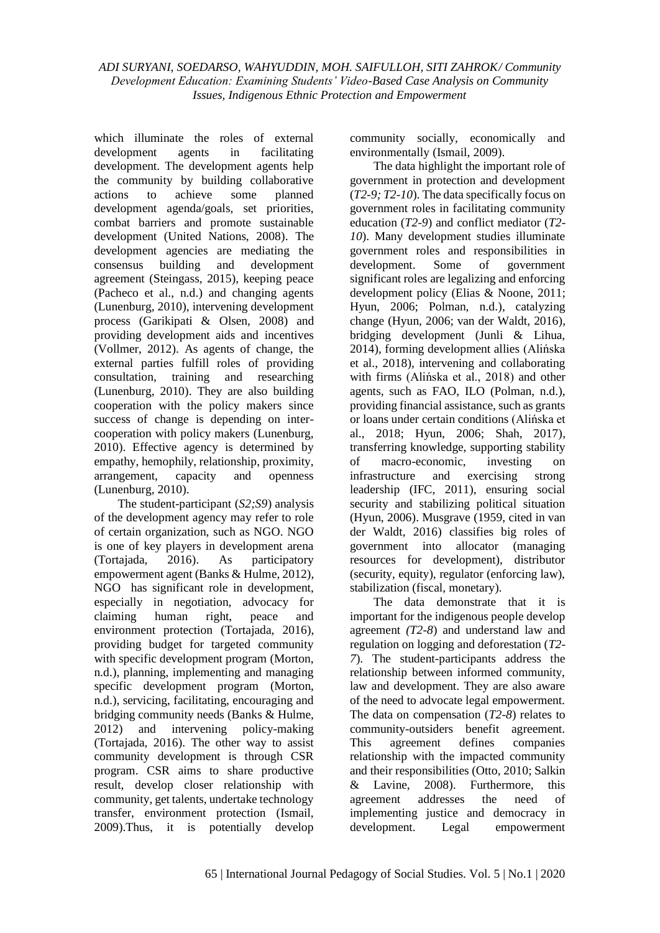which illuminate the roles of external development agents in facilitating development. The development agents help the community by building collaborative actions to achieve some planned development agenda/goals, set priorities, combat barriers and promote sustainable development (United Nations, 2008). The development agencies are mediating the consensus building and development agreement (Steingass, 2015), keeping peace (Pacheco et al., n.d.) and changing agents (Lunenburg, 2010), intervening development process (Garikipati & Olsen, 2008) and providing development aids and incentives (Vollmer, 2012). As agents of change, the external parties fulfill roles of providing consultation, training and researching (Lunenburg, 2010). They are also building cooperation with the policy makers since success of change is depending on intercooperation with policy makers (Lunenburg, 2010). Effective agency is determined by empathy, hemophily, relationship, proximity, arrangement, capacity and openness (Lunenburg, 2010).

The student-participant (*S2;S9*) analysis of the development agency may refer to role of certain organization, such as NGO. NGO is one of key players in development arena (Tortajada, 2016). As participatory empowerment agent (Banks & Hulme, 2012), NGO has significant role in development, especially in negotiation, advocacy for claiming human right, peace and environment protection (Tortajada, 2016), providing budget for targeted community with specific development program (Morton, n.d.), planning, implementing and managing specific development program (Morton, n.d.), servicing, facilitating, encouraging and bridging community needs (Banks & Hulme, 2012) and intervening policy-making (Tortajada, 2016). The other way to assist community development is through CSR program. CSR aims to share productive result, develop closer relationship with community, get talents, undertake technology transfer, environment protection (Ismail, 2009).Thus, it is potentially develop community socially, economically and environmentally (Ismail, 2009).

The data highlight the important role of government in protection and development (*T2-9; T2-10*). The data specifically focus on government roles in facilitating community education (*T2-9*) and conflict mediator (*T2- 10*). Many development studies illuminate government roles and responsibilities in development. Some of government significant roles are legalizing and enforcing development policy (Elias & Noone, 2011; Hyun, 2006; Polman, n.d.), catalyzing change (Hyun, 2006; van der Waldt, 2016), bridging development (Junli & Lihua, 2014), forming development allies (Alińska et al., 2018), intervening and collaborating with firms (Alińska et al., 2018) and other agents, such as FAO, ILO (Polman, n.d.), providing financial assistance, such as grants or loans under certain conditions (Alińska et al., 2018; Hyun, 2006; Shah, 2017), transferring knowledge, supporting stability of macro-economic, investing on infrastructure and exercising strong leadership (IFC, 2011), ensuring social security and stabilizing political situation (Hyun, 2006). Musgrave (1959, cited in van der Waldt, 2016) classifies big roles of government into allocator (managing resources for development), distributor (security, equity), regulator (enforcing law), stabilization (fiscal, monetary).

The data demonstrate that it is important for the indigenous people develop agreement *(T2-8*) and understand law and regulation on logging and deforestation (*T2- 7*). The student-participants address the relationship between informed community, law and development. They are also aware of the need to advocate legal empowerment. The data on compensation (*T2-8*) relates to community-outsiders benefit agreement. This agreement defines companies relationship with the impacted community and their responsibilities (Otto, 2010; Salkin & Lavine, 2008). Furthermore, this agreement addresses the need of implementing justice and democracy in development. Legal empowerment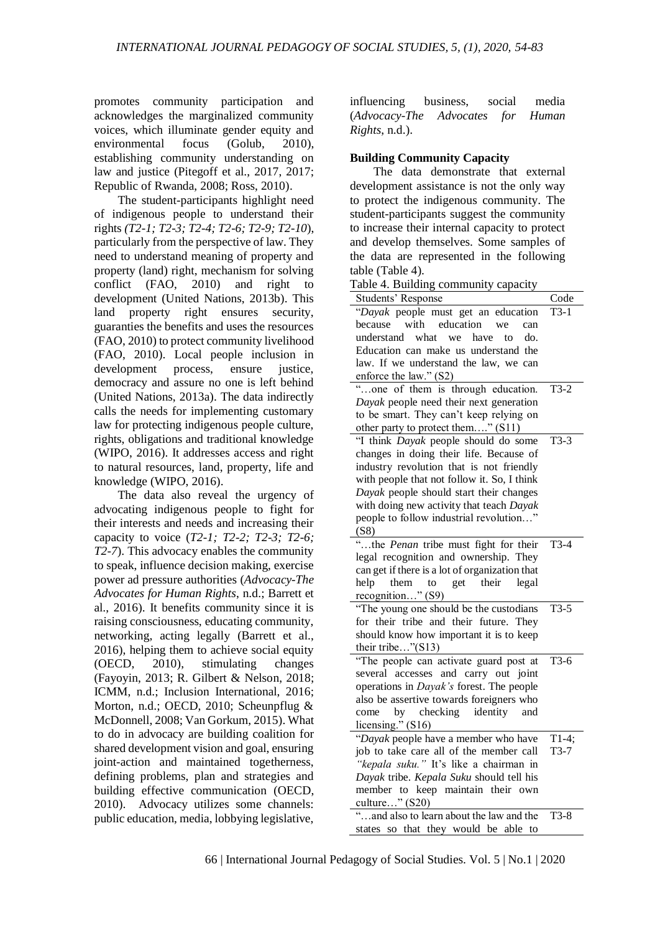promotes community participation and acknowledges the marginalized community voices, which illuminate gender equity and environmental focus (Golub, 2010), establishing community understanding on law and justice (Pitegoff et al., 2017, 2017; Republic of Rwanda, 2008; Ross, 2010).

The student-participants highlight need of indigenous people to understand their rights *(T2-1; T2-3; T2-4; T2-6; T2-9; T2-10*), particularly from the perspective of law. They need to understand meaning of property and property (land) right, mechanism for solving conflict (FAO, 2010) and right to development (United Nations, 2013b). This land property right ensures security, guaranties the benefits and uses the resources (FAO, 2010) to protect community livelihood (FAO, 2010). Local people inclusion in development process, ensure justice, democracy and assure no one is left behind (United Nations, 2013a). The data indirectly calls the needs for implementing customary law for protecting indigenous people culture, rights, obligations and traditional knowledge (WIPO, 2016). It addresses access and right to natural resources, land, property, life and knowledge (WIPO, 2016).

The data also reveal the urgency of advocating indigenous people to fight for their interests and needs and increasing their capacity to voice (*T2-1; T2-2; T2-3; T2-6; T2-7*). This advocacy enables the community to speak, influence decision making, exercise power ad pressure authorities (*Advocacy-The Advocates for Human Rights*, n.d.; Barrett et al., 2016). It benefits community since it is raising consciousness, educating community, networking, acting legally (Barrett et al., 2016), helping them to achieve social equity (OECD, 2010), stimulating changes (Fayoyin, 2013; R. Gilbert & Nelson, 2018; ICMM, n.d.; Inclusion International, 2016; Morton, n.d.; OECD, 2010; Scheunpflug & McDonnell, 2008; Van Gorkum, 2015). What to do in advocacy are building coalition for shared development vision and goal, ensuring joint-action and maintained togetherness, defining problems, plan and strategies and building effective communication (OECD, 2010). Advocacy utilizes some channels: public education, media, lobbying legislative, influencing business, social media (*Advocacy-The Advocates for Human Rights*, n.d.).

### **Building Community Capacity**

The data demonstrate that external development assistance is not the only way to protect the indigenous community. The student-participants suggest the community to increase their internal capacity to protect and develop themselves. Some samples of the data are represented in the following table (Table 4).

Table 4. Building community capacity

| <b>Students' Response</b>                       | Code    |
|-------------------------------------------------|---------|
| "Dayak people must get an education             | $T3-1$  |
| because<br>with<br>education<br>we<br>can       |         |
| understand<br>what<br>we<br>have<br>do.<br>to   |         |
| Education can make us understand the            |         |
| law. If we understand the law, we can           |         |
| enforce the law." (S2)                          |         |
| "one of them is through education.              | $T3-2$  |
| Dayak people need their next generation         |         |
| to be smart. They can't keep relying on         |         |
| other party to protect them" (S11)              |         |
| "I think Dayak people should do some            | $T3-3$  |
| changes in doing their life. Because of         |         |
| industry revolution that is not friendly        |         |
| with people that not follow it. So, I think     |         |
| Dayak people should start their changes         |         |
| with doing new activity that teach Dayak        |         |
| people to follow industrial revolution"         |         |
| (S8)                                            |         |
| "the Penan tribe must fight for their           | $T3-4$  |
| legal recognition and ownership. They           |         |
| can get if there is a lot of organization that  |         |
| help<br>get<br>their<br>legal<br>them<br>to     |         |
| recognition" (S9)                               |         |
| "The young one should be the custodians         | $T3-5$  |
| for their tribe and their future. They          |         |
| should know how important it is to keep         |         |
| their tribe"(S13)                               |         |
| "The people can activate guard post at          | $T3-6$  |
| several accesses and carry out joint            |         |
| operations in <i>Dayak's</i> forest. The people |         |
| also be assertive towards foreigners who        |         |
| checking identity<br>come<br>by<br>and          |         |
| licensing." $(S16)$                             |         |
| "Dayak people have a member who have            | $T1-4;$ |
| job to take care all of the member call         | $T3-7$  |
| "kepala suku." It's like a chairman in          |         |
| Dayak tribe. Kepala Suku should tell his        |         |
| member to keep maintain their own               |         |
| culture" (S20)                                  |         |
| "and also to learn about the law and the        | $T3-8$  |
| states so that they would be able<br>to         |         |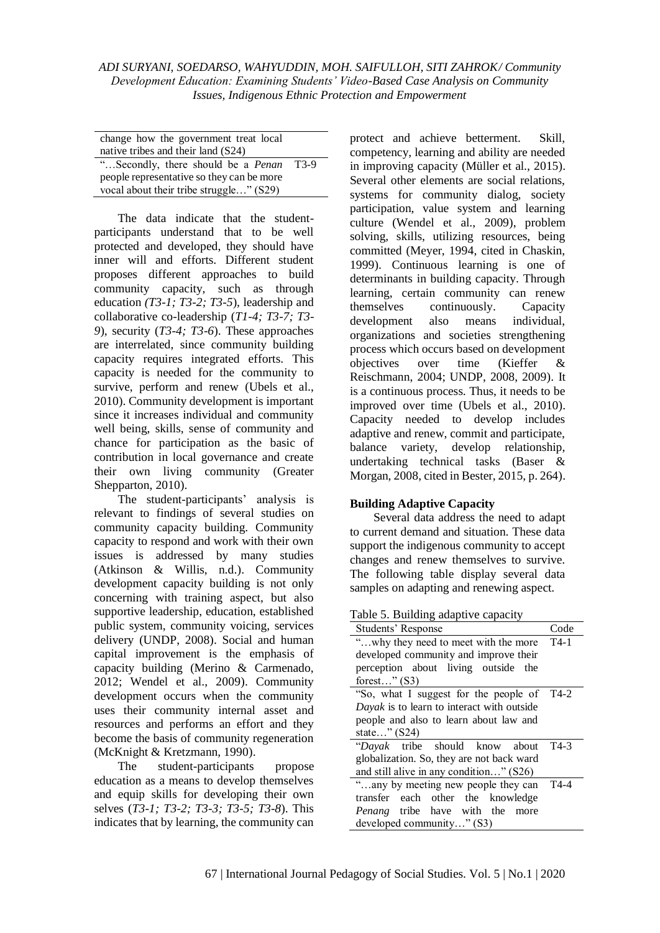| change how the government treat local<br>native tribes and their land (S24) |      |
|-----------------------------------------------------------------------------|------|
| "Secondly, there should be a <i>Penan</i>                                   | T3-9 |
| people representative so they can be more                                   |      |
| vocal about their tribe struggle" (S29)                                     |      |

The data indicate that the studentparticipants understand that to be well protected and developed, they should have inner will and efforts. Different student proposes different approaches to build community capacity, such as through education *(T3-1; T3-2; T3-5*), leadership and collaborative co-leadership (*T1-4; T3-7; T3- 9*), security (*T3-4; T3-6*). These approaches are interrelated, since community building capacity requires integrated efforts. This capacity is needed for the community to survive, perform and renew (Ubels et al., 2010). Community development is important since it increases individual and community well being, skills, sense of community and chance for participation as the basic of contribution in local governance and create their own living community (Greater Shepparton, 2010).

The student-participants' analysis is relevant to findings of several studies on community capacity building. Community capacity to respond and work with their own issues is addressed by many studies (Atkinson & Willis, n.d.). Community development capacity building is not only concerning with training aspect, but also supportive leadership, education, established public system, community voicing, services delivery (UNDP, 2008). Social and human capital improvement is the emphasis of capacity building (Merino & Carmenado, 2012; Wendel et al., 2009). Community development occurs when the community uses their community internal asset and resources and performs an effort and they become the basis of community regeneration (McKnight & Kretzmann, 1990).

The student-participants propose education as a means to develop themselves and equip skills for developing their own selves (*T3-1; T3-2; T3-3; T3-5; T3-8*). This indicates that by learning, the community can protect and achieve betterment. Skill, competency, learning and ability are needed in improving capacity (Müller et al., 2015). Several other elements are social relations, systems for community dialog, society participation, value system and learning culture (Wendel et al., 2009), problem solving, skills, utilizing resources, being committed (Meyer, 1994, cited in Chaskin, 1999). Continuous learning is one of determinants in building capacity. Through learning, certain community can renew themselves continuously. Capacity development also means individual, organizations and societies strengthening process which occurs based on development objectives over time (Kieffer & Reischmann, 2004; UNDP, 2008, 2009). It is a continuous process. Thus, it needs to be improved over time (Ubels et al., 2010). Capacity needed to develop includes adaptive and renew, commit and participate, balance variety, develop relationship, undertaking technical tasks (Baser & Morgan, 2008, cited in Bester, 2015, p. 264).

# **Building Adaptive Capacity**

Several data address the need to adapt to current demand and situation. These data support the indigenous community to accept changes and renew themselves to survive. The following table display several data samples on adapting and renewing aspect.

Table 5. Building adaptive capacity

| Students' Response                         | Code |
|--------------------------------------------|------|
| "why they need to meet with the more T4-1  |      |
| developed community and improve their      |      |
| perception about living outside the        |      |
| forest" $(S3)$                             |      |
| "So, what I suggest for the people of T4-2 |      |
| Dayak is to learn to interact with outside |      |
| people and also to learn about law and     |      |
| state" (S24)                               |      |
| "Dayak tribe should know about             | T4-3 |
| globalization. So, they are not back ward  |      |
| and still alive in any condition" (S26)    |      |
| "any by meeting new people they can T4-4   |      |
| transfer each other the knowledge          |      |
| <i>Penang</i> tribe have with the<br>more  |      |
| developed community" (S3)                  |      |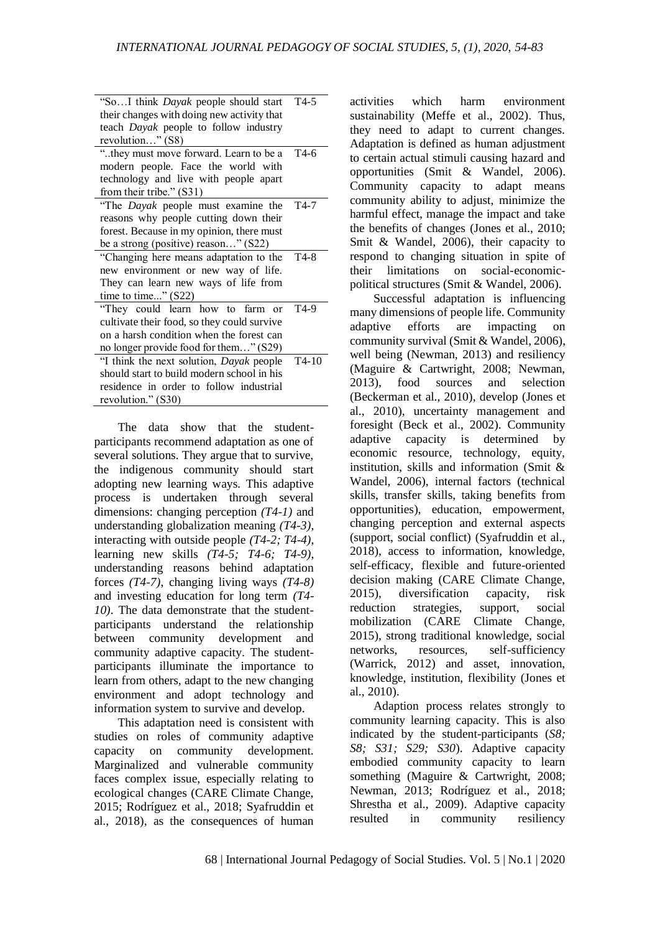| "SoI think <i>Dayak</i> people should start     | $T4-5$            |
|-------------------------------------------------|-------------------|
| their changes with doing new activity that      |                   |
| teach Dayak people to follow industry           |                   |
| revolution" (S8)                                |                   |
| "they must move forward. Learn to be a          | $T4-6$            |
| modern people. Face the world with              |                   |
| technology and live with people apart           |                   |
| from their tribe." (S31)                        |                   |
| "The <i>Dayak</i> people must examine the       | $T4-7$            |
| reasons why people cutting down their           |                   |
| forest. Because in my opinion, there must       |                   |
| be a strong (positive) reason" (S22)            |                   |
| "Changing here means adaptation to the T4-8     |                   |
| new environment or new way of life.             |                   |
| They can learn new ways of life from            |                   |
| time to time" $(S22)$                           |                   |
| "They could learn how to farm or                | T <sub>4</sub> -9 |
| cultivate their food, so they could survive     |                   |
| on a harsh condition when the forest can        |                   |
| no longer provide food for them" (S29)          |                   |
| "I think the next solution, <i>Dayak</i> people | $T4-10$           |
| should start to build modern school in his      |                   |
| residence in order to follow industrial         |                   |
| revolution." (S30)                              |                   |

The data show that the studentparticipants recommend adaptation as one of several solutions. They argue that to survive, the indigenous community should start adopting new learning ways. This adaptive process is undertaken through several dimensions: changing perception *(T4-1)* and understanding globalization meaning *(T4-3)*, interacting with outside people *(T4-2; T4-4)*, learning new skills *(T4-5; T4-6; T4-9)*, understanding reasons behind adaptation forces *(T4-7)*, changing living ways *(T4-8)* and investing education for long term *(T4- 10)*. The data demonstrate that the studentparticipants understand the relationship between community development and community adaptive capacity. The studentparticipants illuminate the importance to learn from others, adapt to the new changing environment and adopt technology and information system to survive and develop.

This adaptation need is consistent with studies on roles of community adaptive capacity on community development. Marginalized and vulnerable community faces complex issue, especially relating to ecological changes (CARE Climate Change, 2015; Rodríguez et al., 2018; Syafruddin et al., 2018), as the consequences of human activities which harm environment sustainability (Meffe et al., 2002). Thus, they need to adapt to current changes. Adaptation is defined as human adjustment to certain actual stimuli causing hazard and opportunities (Smit & Wandel, 2006). Community capacity to adapt means community ability to adjust, minimize the harmful effect, manage the impact and take the benefits of changes (Jones et al., 2010; Smit & Wandel, 2006), their capacity to respond to changing situation in spite of their limitations on social-economicpolitical structures (Smit & Wandel, 2006).

Successful adaptation is influencing many dimensions of people life. Community adaptive efforts are impacting on community survival (Smit & Wandel, 2006), well being (Newman, 2013) and resiliency (Maguire & Cartwright, 2008; Newman, 2013), food sources and selection (Beckerman et al., 2010), develop (Jones et al., 2010), uncertainty management and foresight (Beck et al., 2002). Community adaptive capacity is determined by economic resource, technology, equity, institution, skills and information (Smit & Wandel, 2006), internal factors (technical skills, transfer skills, taking benefits from opportunities), education, empowerment, changing perception and external aspects (support, social conflict) (Syafruddin et al., 2018), access to information, knowledge, self-efficacy, flexible and future-oriented decision making (CARE Climate Change, 2015), diversification capacity, risk reduction strategies, support, social mobilization (CARE Climate Change, 2015), strong traditional knowledge, social networks, resources, self-sufficiency (Warrick, 2012) and asset, innovation, knowledge, institution, flexibility (Jones et al., 2010).

Adaption process relates strongly to community learning capacity. This is also indicated by the student-participants (*S8; S8; S31; S29; S30*). Adaptive capacity embodied community capacity to learn something (Maguire & Cartwright, 2008; Newman, 2013; Rodríguez et al., 2018; Shrestha et al., 2009). Adaptive capacity resulted in community resiliency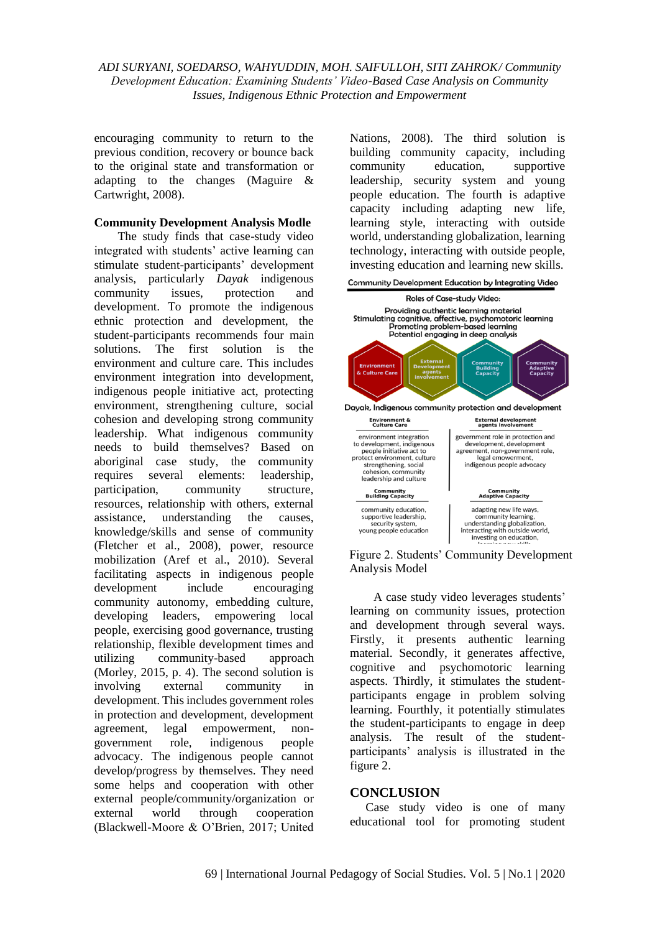encouraging community to return to the previous condition, recovery or bounce back to the original state and transformation or adapting to the changes (Maguire & Cartwright, 2008).

### **Community Development Analysis Modle**

The study finds that case-study video integrated with students' active learning can stimulate student-participants' development analysis, particularly *Dayak* indigenous community issues, protection and development. To promote the indigenous ethnic protection and development, the student-participants recommends four main solutions. The first solution is the environment and culture care. This includes environment integration into development, indigenous people initiative act, protecting environment, strengthening culture, social cohesion and developing strong community leadership. What indigenous community needs to build themselves? Based on aboriginal case study, the community requires several elements: leadership, participation, community structure, resources, relationship with others, external assistance, understanding the causes, knowledge/skills and sense of community (Fletcher et al., 2008), power, resource mobilization (Aref et al., 2010). Several facilitating aspects in indigenous people development include encouraging community autonomy, embedding culture, developing leaders, empowering local people, exercising good governance, trusting relationship, flexible development times and utilizing community-based approach (Morley, 2015, p. 4). The second solution is involving external community in development. This includes government roles in protection and development, development agreement, legal empowerment, nongovernment role, indigenous people advocacy. The indigenous people cannot develop/progress by themselves. They need some helps and cooperation with other external people/community/organization or external world through cooperation (Blackwell-Moore & O'Brien, 2017; United Nations, 2008). The third solution is building community capacity, including community education, supportive leadership, security system and young people education. The fourth is adaptive capacity including adapting new life, learning style, interacting with outside world, understanding globalization, learning technology, interacting with outside people, investing education and learning new skills.





A case study video leverages students' learning on community issues, protection and development through several ways. Firstly, it presents authentic learning material. Secondly, it generates affective, cognitive and psychomotoric learning aspects. Thirdly, it stimulates the studentparticipants engage in problem solving learning. Fourthly, it potentially stimulates the student-participants to engage in deep analysis. The result of the studentparticipants' analysis is illustrated in the figure 2.

### **CONCLUSION**

Case study video is one of many educational tool for promoting student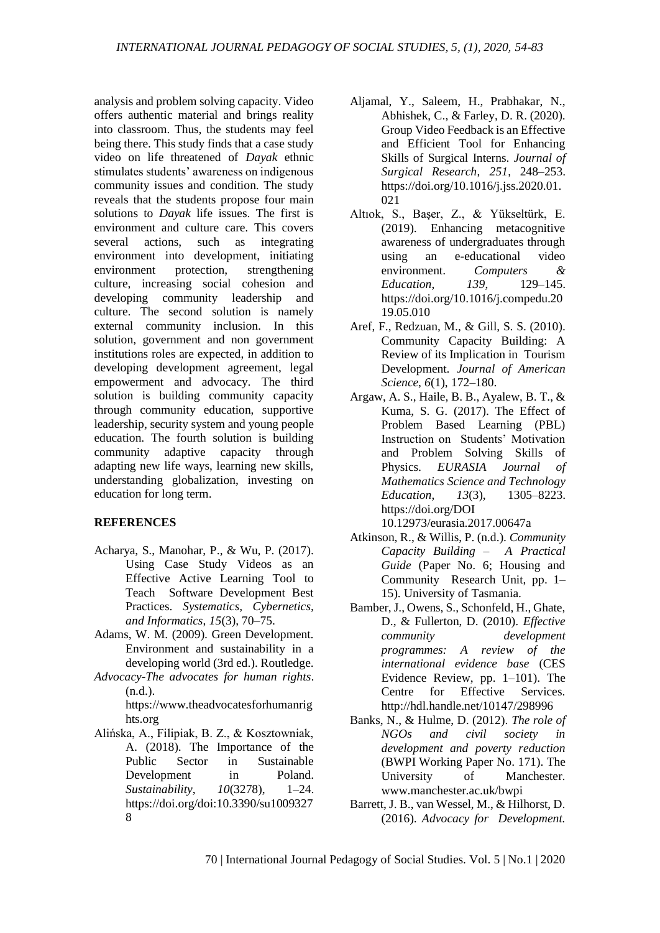analysis and problem solving capacity. Video offers authentic material and brings reality into classroom. Thus, the students may feel being there. This study finds that a case study video on life threatened of *Dayak* ethnic stimulates students' awareness on indigenous community issues and condition. The study reveals that the students propose four main solutions to *Dayak* life issues. The first is environment and culture care. This covers several actions, such as integrating environment into development, initiating environment protection, strengthening culture, increasing social cohesion and developing community leadership and culture. The second solution is namely external community inclusion. In this solution, government and non government institutions roles are expected, in addition to developing development agreement, legal empowerment and advocacy. The third solution is building community capacity through community education, supportive leadership, security system and young people education. The fourth solution is building community adaptive capacity through adapting new life ways, learning new skills, understanding globalization, investing on education for long term.

# **REFERENCES**

- Acharya, S., Manohar, P., & Wu, P. (2017). Using Case Study Videos as an Effective Active Learning Tool to Teach Software Development Best Practices. *Systematics, Cybernetics, and Informatics*, *15*(3), 70–75.
- Adams, W. M. (2009). Green Development. Environment and sustainability in a developing world (3rd ed.). Routledge.
- *Advocacy-The advocates for human rights*. (n.d.).

https://www.theadvocatesforhumanrig hts.org

Alińska, A., Filipiak, B. Z., & Kosztowniak, A. (2018). The Importance of the Public Sector in Sustainable Development in Poland. *Sustainability*, *10*(3278), 1–24. https://doi.org/doi:10.3390/su1009327 8

- Aljamal, Y., Saleem, H., Prabhakar, N., Abhishek, C., & Farley, D. R. (2020). Group Video Feedback is an Effective and Efficient Tool for Enhancing Skills of Surgical Interns. *Journal of Surgical Research*, *251*, 248–253. https://doi.org/10.1016/j.jss.2020.01. 021
- Altıok, S., Başer, Z., & Yükseltürk, E. (2019). Enhancing metacognitive awareness of undergraduates through using an e-educational video environment. *Computers & Education*, *139*, 129–145. https://doi.org/10.1016/j.compedu.20 19.05.010
- Aref, F., Redzuan, M., & Gill, S. S. (2010). Community Capacity Building: A Review of its Implication in Tourism Development. *Journal of American Science*, *6*(1), 172–180.
- Argaw, A. S., Haile, B. B., Ayalew, B. T., & Kuma, S. G. (2017). The Effect of Problem Based Learning (PBL) Instruction on Students' Motivation and Problem Solving Skills of Physics. *EURASIA Journal of Mathematics Science and Technology Education*, *13*(3), 1305–8223. https://doi.org/DOI 10.12973/eurasia.2017.00647a
- Atkinson, R., & Willis, P. (n.d.). *Community Capacity Building – A Practical Guide* (Paper No. 6; Housing and Community Research Unit, pp. 1– 15). University of Tasmania.
- Bamber, J., Owens, S., Schonfeld, H., Ghate, D., & Fullerton, D. (2010). *Effective community development programmes: A review of the international evidence base* (CES Evidence Review, pp. 1–101). The Centre for Effective Services. http://hdl.handle.net/10147/298996
- Banks, N., & Hulme, D. (2012). *The role of NGOs and civil society in development and poverty reduction* (BWPI Working Paper No. 171). The University of Manchester. www.manchester.ac.uk/bwpi
- Barrett, J. B., van Wessel, M., & Hilhorst, D. (2016). *Advocacy for Development.*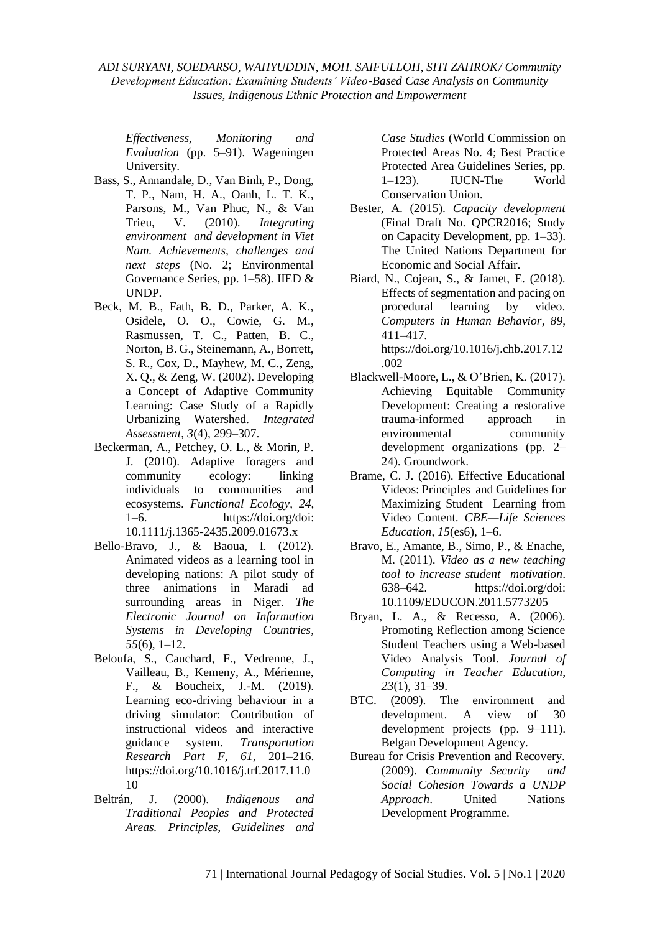*Effectiveness, Monitoring and Evaluation* (pp. 5–91). Wageningen University.

- Bass, S., Annandale, D., Van Binh, P., Dong, T. P., Nam, H. A., Oanh, L. T. K., Parsons, M., Van Phuc, N., & Van Trieu, V. (2010). *Integrating environment and development in Viet Nam. Achievements, challenges and next steps* (No. 2; Environmental Governance Series, pp. 1–58). IIED & UNDP.
- Beck, M. B., Fath, B. D., Parker, A. K., Osidele, O. O., Cowie, G. M., Rasmussen, T. C., Patten, B. C., Norton, B. G., Steinemann, A., Borrett, S. R., Cox, D., Mayhew, M. C., Zeng, X. Q., & Zeng, W. (2002). Developing a Concept of Adaptive Community Learning: Case Study of a Rapidly Urbanizing Watershed. *Integrated Assessment*, *3*(4), 299–307.
- Beckerman, A., Petchey, O. L., & Morin, P. J. (2010). Adaptive foragers and community ecology: linking individuals to communities and ecosystems. *Functional Ecology*, *24*, 1–6. https://doi.org/doi: 10.1111/j.1365-2435.2009.01673.x
- Bello-Bravo, J., & Baoua, I. (2012). Animated videos as a learning tool in developing nations: A pilot study of three animations in Maradi ad surrounding areas in Niger. *The Electronic Journal on Information Systems in Developing Countries*, *55*(6), 1–12.
- Beloufa, S., Cauchard, F., Vedrenne, J., Vailleau, B., Kemeny, A., Mérienne, F., & Boucheix, J.-M. (2019). Learning eco-driving behaviour in a driving simulator: Contribution of instructional videos and interactive guidance system. *Transportation Research Part F*, *61*, 201–216. https://doi.org/10.1016/j.trf.2017.11.0 10
- Beltrán, J. (2000). *Indigenous and Traditional Peoples and Protected Areas. Principles, Guidelines and*

*Case Studies* (World Commission on Protected Areas No. 4; Best Practice Protected Area Guidelines Series, pp. 1–123). IUCN-The World Conservation Union.

- Bester, A. (2015). *Capacity development* (Final Draft No. QPCR2016; Study on Capacity Development, pp. 1–33). The United Nations Department for Economic and Social Affair.
- Biard, N., Cojean, S., & Jamet, E. (2018). Effects of segmentation and pacing on procedural learning by video. *Computers in Human Behavior*, *89*, 411–417. https://doi.org/10.1016/j.chb.2017.12

.002

- Blackwell-Moore, L., & O'Brien, K. (2017). Achieving Equitable Community Development: Creating a restorative trauma-informed approach in environmental community development organizations (pp. 2– 24). Groundwork.
- Brame, C. J. (2016). Effective Educational Videos: Principles and Guidelines for Maximizing Student Learning from Video Content. *CBE—Life Sciences Education*, *15*(es6), 1–6.
- Bravo, E., Amante, B., Simo, P., & Enache, M. (2011). *Video as a new teaching tool to increase student motivation*. 638–642. https://doi.org/doi: 10.1109/EDUCON.2011.5773205
- Bryan, L. A., & Recesso, A. (2006). Promoting Reflection among Science Student Teachers using a Web-based Video Analysis Tool. *Journal of Computing in Teacher Education*, *23*(1), 31–39.
- BTC. (2009). The environment and development. A view of 30 development projects (pp. 9–111). Belgan Development Agency.
- Bureau for Crisis Prevention and Recovery. (2009). *Community Security and Social Cohesion Towards a UNDP Approach*. United Nations Development Programme.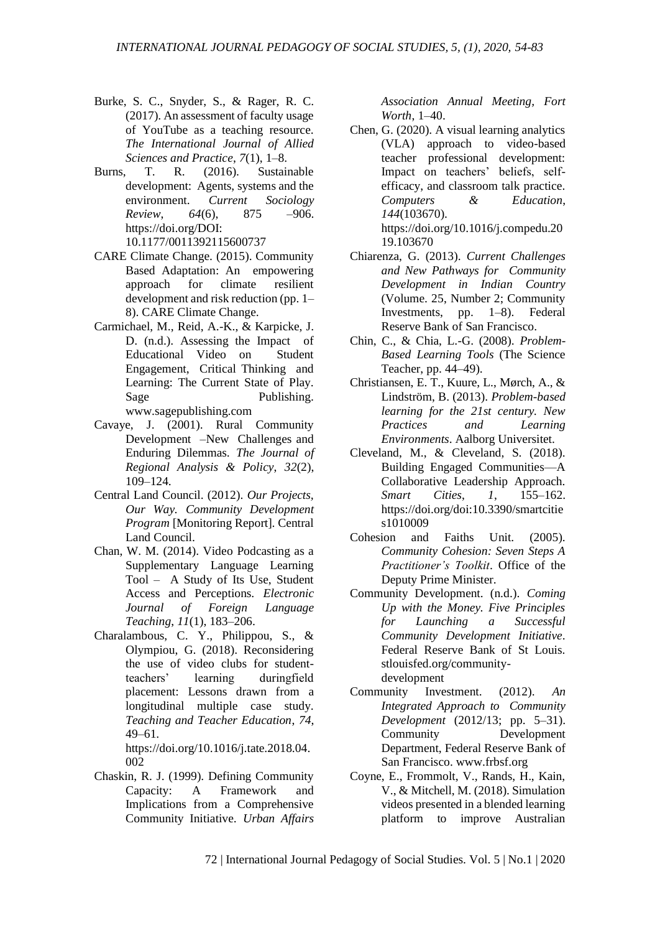- Burke, S. C., Snyder, S., & Rager, R. C. (2017). An assessment of faculty usage of YouTube as a teaching resource. *The International Journal of Allied Sciences and Practice*, *7*(1), 1–8.
- Burns, T. R. (2016). Sustainable development: Agents, systems and the environment. *Current Sociology Review*, *64*(6), 875 –906. https://doi.org/DOI: 10.1177/0011392115600737
- CARE Climate Change. (2015). Community Based Adaptation: An empowering approach for climate resilient development and risk reduction (pp. 1– 8). CARE Climate Change.
- Carmichael, M., Reid, A.-K., & Karpicke, J. D. (n.d.). Assessing the Impact of Educational Video on Student Engagement, Critical Thinking and Learning: The Current State of Play. Sage Publishing. www.sagepublishing.com
- Cavaye, J. (2001). Rural Community Development –New Challenges and Enduring Dilemmas. *The Journal of Regional Analysis & Policy*, *32*(2), 109–124.
- Central Land Council. (2012). *Our Projects, Our Way. Community Development Program* [Monitoring Report]. Central Land Council.
- Chan, W. M. (2014). Video Podcasting as a Supplementary Language Learning Tool – A Study of Its Use, Student Access and Perceptions. *Electronic Journal of Foreign Language Teaching*, *11*(1), 183–206.
- Charalambous, C. Y., Philippou, S., & Olympiou, G. (2018). Reconsidering the use of video clubs for studentteachers' learning duringfield placement: Lessons drawn from a longitudinal multiple case study. *Teaching and Teacher Education*, *74*, 49–61. https://doi.org/10.1016/j.tate.2018.04.

002

Chaskin, R. J. (1999). Defining Community Capacity: A Framework and Implications from a Comprehensive Community Initiative. *Urban Affairs* 

*Association Annual Meeting, Fort Worth*, 1–40.

- Chen, G. (2020). A visual learning analytics (VLA) approach to video-based teacher professional development: Impact on teachers' beliefs, selfefficacy, and classroom talk practice. *Computers & Education*, *144*(103670). https://doi.org/10.1016/j.compedu.20 19.103670
- Chiarenza, G. (2013). *Current Challenges and New Pathways for Community Development in Indian Country* (Volume. 25, Number 2; Community Investments, pp. 1–8). Federal Reserve Bank of San Francisco.
- Chin, C., & Chia, L.-G. (2008). *Problem-Based Learning Tools* (The Science Teacher, pp. 44–49).
- Christiansen, E. T., Kuure, L., Mørch, A., & Lindström, B. (2013). *Problem-based learning for the 21st century. New Practices and Learning Environments*. Aalborg Universitet.
- Cleveland, M., & Cleveland, S. (2018). Building Engaged Communities—A Collaborative Leadership Approach. *Smart Cities*, *1*, 155–162. https://doi.org/doi:10.3390/smartcitie s1010009
- Cohesion and Faiths Unit. (2005). *Community Cohesion: Seven Steps A Practitioner's Toolkit*. Office of the Deputy Prime Minister.
- Community Development. (n.d.). *Coming Up with the Money. Five Principles for Launching a Successful Community Development Initiative*. Federal Reserve Bank of St Louis. stlouisfed.org/communitydevelopment
- Community Investment. (2012). *An Integrated Approach to Community Development* (2012/13; pp. 5–31). Community Development Department, Federal Reserve Bank of San Francisco. www.frbsf.org
- Coyne, E., Frommolt, V., Rands, H., Kain, V., & Mitchell, M. (2018). Simulation videos presented in a blended learning platform to improve Australian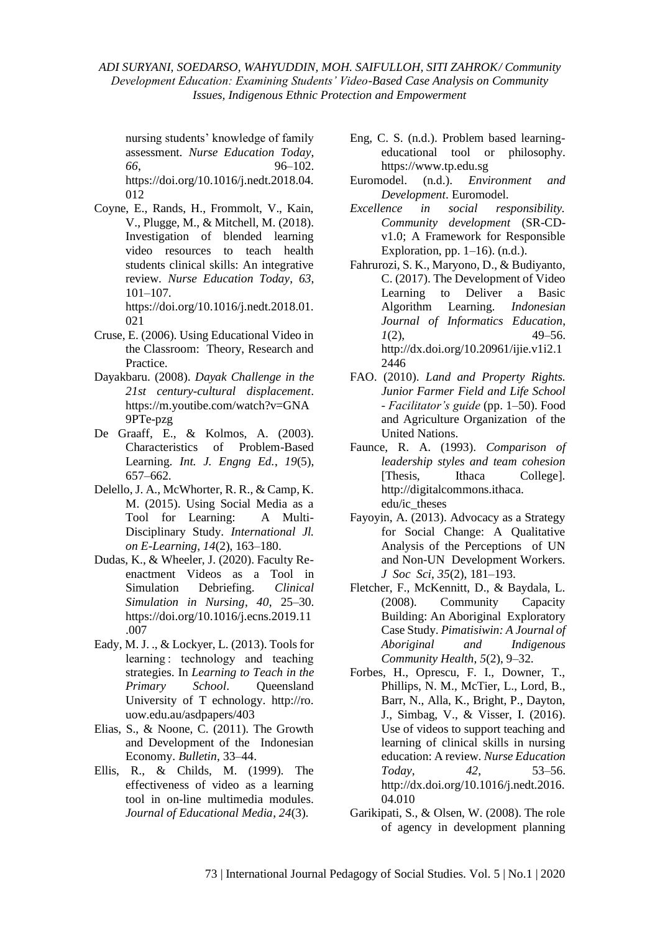nursing students' knowledge of family assessment. *Nurse Education Today*, *66*, 96–102. https://doi.org/10.1016/j.nedt.2018.04. 012

Coyne, E., Rands, H., Frommolt, V., Kain, V., Plugge, M., & Mitchell, M. (2018). Investigation of blended learning video resources to teach health students clinical skills: An integrative review. *Nurse Education Today*, *63*, 101–107.

https://doi.org/10.1016/j.nedt.2018.01. 021

- Cruse, E. (2006). Using Educational Video in the Classroom: Theory, Research and Practice.
- Dayakbaru. (2008). *Dayak Challenge in the 21st century-cultural displacement*. https://m.youtibe.com/watch?v=GNA 9PTe-pzg
- De Graaff, E., & Kolmos, A. (2003). Characteristics of Problem-Based Learning. *Int. J. Engng Ed.*, *19*(5), 657–662.
- Delello, J. A., McWhorter, R. R., & Camp, K. M. (2015). Using Social Media as a Tool for Learning: A Multi-Disciplinary Study. *International Jl. on E-Learning*, *14*(2), 163–180.
- Dudas, K., & Wheeler, J. (2020). Faculty Reenactment Videos as a Tool in Simulation Debriefing. *Clinical Simulation in Nursing*, *40*, 25–30. https://doi.org/10.1016/j.ecns.2019.11 .007
- Eady, M. J. ., & Lockyer, L. (2013). Tools for learning : technology and teaching strategies. In *Learning to Teach in the Primary School*. Queensland University of T echnology. http://ro. uow.edu.au/asdpapers/403
- Elias, S., & Noone, C. (2011). The Growth and Development of the Indonesian Economy. *Bulletin*, 33–44.
- Ellis, R., & Childs, M. (1999). The effectiveness of video as a learning tool in on-line multimedia modules. *Journal of Educational Media*, *24*(3).
- Eng, C. S. (n.d.). Problem based learningeducational tool or philosophy. https://www.tp.edu.sg
- Euromodel. (n.d.). *Environment and Development*. Euromodel.
- *Excellence in social responsibility. Community development* (SR-CDv1.0; A Framework for Responsible Exploration, pp.  $1-16$ ). (n.d.).
- Fahrurozi, S. K., Maryono, D., & Budiyanto, C. (2017). The Development of Video Learning to Deliver a Basic Algorithm Learning. *Indonesian Journal of Informatics Education*,  $1(2)$ , 49–56. http://dx.doi.org/10.20961/ijie.v1i2.1 2446
- FAO. (2010). *Land and Property Rights. Junior Farmer Field and Life School - Facilitator's guide* (pp. 1–50). Food and Agriculture Organization of the United Nations.
- Faunce, R. A. (1993). *Comparison of leadership styles and team cohesion* [Thesis, Ithaca College]. http://digitalcommons.ithaca. edu/ic\_theses
- Fayoyin, A. (2013). Advocacy as a Strategy for Social Change: A Qualitative Analysis of the Perceptions of UN and Non-UN Development Workers. *J Soc Sci*, *35*(2), 181–193.
- Fletcher, F., McKennitt, D., & Baydala, L. (2008). Community Capacity Building: An Aboriginal Exploratory Case Study. *Pimatisiwin: A Journal of Aboriginal and Indigenous Community Health*, *5*(2), 9–32.
- Forbes, H., Oprescu, F. I., Downer, T., Phillips, N. M., McTier, L., Lord, B., Barr, N., Alla, K., Bright, P., Dayton, J., Simbag, V., & Visser, I. (2016). Use of videos to support teaching and learning of clinical skills in nursing education: A review. *Nurse Education Today*, *42*, 53–56. http://dx.doi.org/10.1016/j.nedt.2016. 04.010
- Garikipati, S., & Olsen, W. (2008). The role of agency in development planning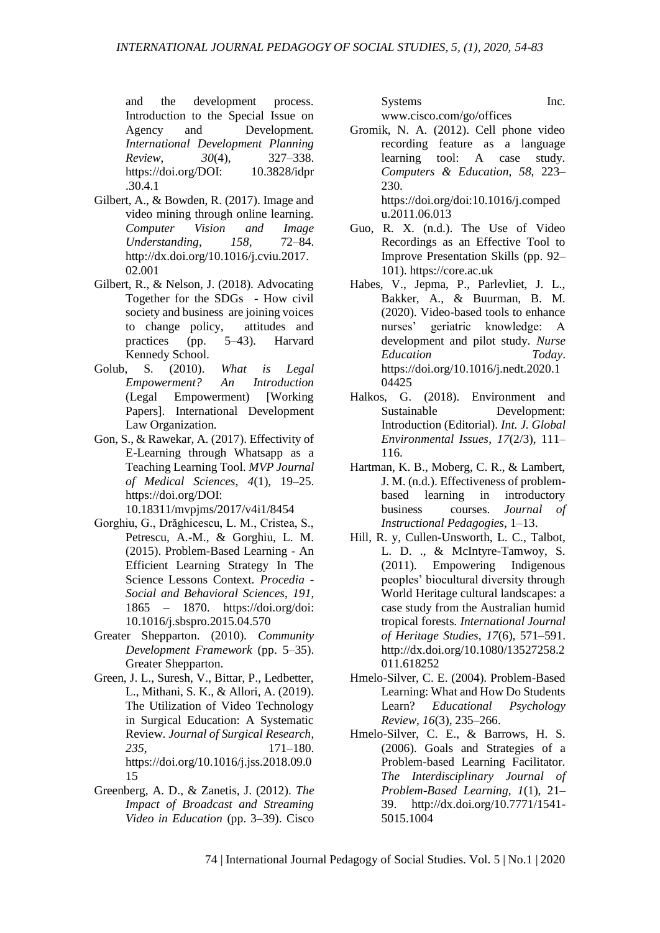and the development process. Introduction to the Special Issue on Agency and Development. *International Development Planning Review*, *30*(4), 327–338. https://doi.org/DOI: 10.3828/idpr .30.4.1

- Gilbert, A., & Bowden, R. (2017). Image and video mining through online learning. *Computer Vision and Image Understanding*, *158*, 72–84. http://dx.doi.org/10.1016/j.cviu.2017. 02.001
- Gilbert, R., & Nelson, J. (2018). Advocating Together for the SDGs - How civil society and business are joining voices to change policy, attitudes and practices (pp. 5–43). Harvard Kennedy School.
- Golub, S. (2010). *What is Legal Empowerment? An Introduction* (Legal Empowerment) [Working Papers]. International Development Law Organization.
- Gon, S., & Rawekar, A. (2017). Effectivity of E-Learning through Whatsapp as a Teaching Learning Tool. *MVP Journal of Medical Sciences*, *4*(1), 19–25. https://doi.org/DOI:

10.18311/mvpjms/2017/v4i1/8454

- Gorghiu, G., Drăghicescu, L. M., Cristea, S., Petrescu, A.-M., & Gorghiu, L. M. (2015). Problem-Based Learning - An Efficient Learning Strategy In The Science Lessons Context. *Procedia - Social and Behavioral Sciences*, *191*, 1865 – 1870. https://doi.org/doi: 10.1016/j.sbspro.2015.04.570
- Greater Shepparton. (2010). *Community Development Framework* (pp. 5–35). Greater Shepparton.
- Green, J. L., Suresh, V., Bittar, P., Ledbetter, L., Mithani, S. K., & Allori, A. (2019). The Utilization of Video Technology in Surgical Education: A Systematic Review. *Journal of Surgical Research*, *235*, 171–180. https://doi.org/10.1016/j.jss.2018.09.0 15
- Greenberg, A. D., & Zanetis, J. (2012). *The Impact of Broadcast and Streaming Video in Education* (pp. 3–39). Cisco

Systems Inc. www.cisco.com/go/offices

Gromik, N. A. (2012). Cell phone video recording feature as a language learning tool: A case study. *Computers & Education*, *58*, 223– 230. https://doi.org/doi:10.1016/j.comped

u.2011.06.013 Guo, R. X. (n.d.). The Use of Video

- Recordings as an Effective Tool to Improve Presentation Skills (pp. 92– 101). https://core.ac.uk
- Habes, V., Jepma, P., Parlevliet, J. L., Bakker, A., & Buurman, B. M. (2020). Video-based tools to enhance nurses' geriatric knowledge: A development and pilot study. *Nurse Education Today*. https://doi.org/10.1016/j.nedt.2020.1 04425
- Halkos, G. (2018). Environment and Sustainable Development: Introduction (Editorial). *Int. J. Global Environmental Issues*, *17*(2/3), 111– 116.
- Hartman, K. B., Moberg, C. R., & Lambert, J. M. (n.d.). Effectiveness of problembased learning in introductory business courses. *Journal of Instructional Pedagogies*, 1–13.
- Hill, R. y, Cullen-Unsworth, L. C., Talbot, L. D. ., & McIntyre-Tamwoy, S. (2011). Empowering Indigenous peoples' biocultural diversity through World Heritage cultural landscapes: a case study from the Australian humid tropical forests. *International Journal of Heritage Studies*, *17*(6), 571–591. http://dx.doi.org/10.1080/13527258.2 011.618252
- Hmelo-Silver, C. E. (2004). Problem-Based Learning: What and How Do Students Learn? *Educational Psychology Review*, *16*(3), 235–266.
- Hmelo-Silver, C. E., & Barrows, H. S. (2006). Goals and Strategies of a Problem-based Learning Facilitator. *The Interdisciplinary Journal of Problem-Based Learning*, *1*(1), 21– 39. http://dx.doi.org/10.7771/1541- 5015.1004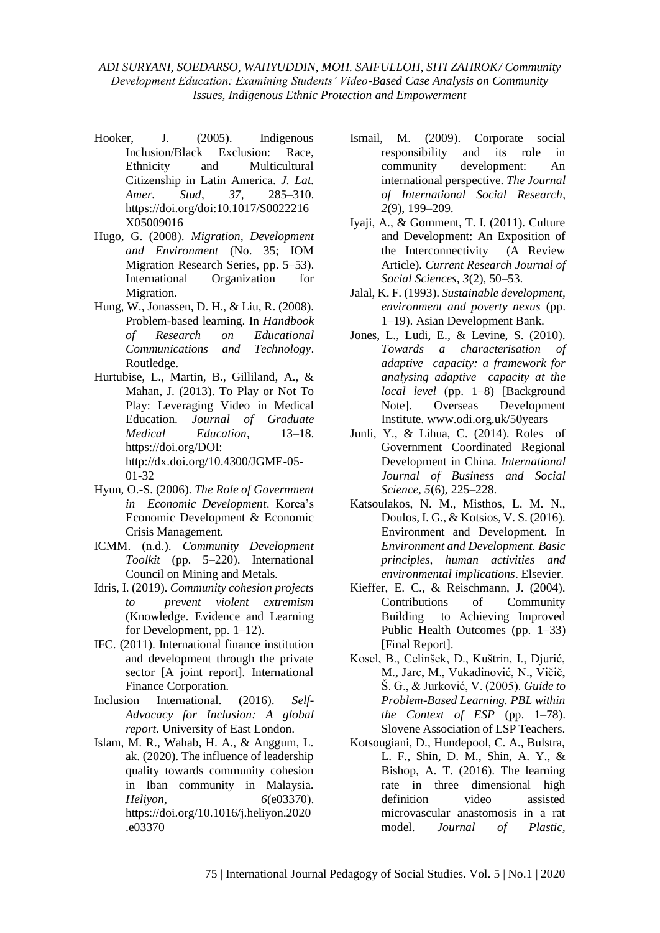- Hooker, J. (2005). Indigenous Inclusion/Black Exclusion: Race, Ethnicity and Multicultural Citizenship in Latin America. *J. Lat. Amer. Stud*, *37*, 285–310. https://doi.org/doi:10.1017/S0022216 X05009016
- Hugo, G. (2008). *Migration, Development and Environment* (No. 35; IOM Migration Research Series, pp. 5–53). International Organization for Migration.
- Hung, W., Jonassen, D. H., & Liu, R. (2008). Problem-based learning. In *Handbook of Research on Educational Communications and Technology*. Routledge.
- Hurtubise, L., Martin, B., Gilliland, A., & Mahan, J. (2013). To Play or Not To Play: Leveraging Video in Medical Education. *Journal of Graduate Medical Education*, 13–18. https://doi.org/DOI: http://dx.doi.org/10.4300/JGME-05- 01-32
- Hyun, O.-S. (2006). *The Role of Government in Economic Development*. Korea's Economic Development & Economic Crisis Management.
- ICMM. (n.d.). *Community Development Toolkit* (pp. 5–220). International Council on Mining and Metals.
- Idris, I. (2019). *Community cohesion projects to prevent violent extremism* (Knowledge. Evidence and Learning for Development, pp. 1–12).
- IFC. (2011). International finance institution and development through the private sector [A joint report]. International Finance Corporation.
- Inclusion International. (2016). *Self-Advocacy for Inclusion: A global report*. University of East London.
- Islam, M. R., Wahab, H. A., & Anggum, L. ak. (2020). The influence of leadership quality towards community cohesion in Iban community in Malaysia. *Heliyon*, *6*(e03370). https://doi.org/10.1016/j.heliyon.2020 .e03370
- Ismail, M. (2009). Corporate social responsibility and its role in community development: An international perspective. *The Journal of International Social Research*, *2*(9), 199–209.
- Iyaji, A., & Gomment, T. I. (2011). Culture and Development: An Exposition of the Interconnectivity (A Review Article). *Current Research Journal of Social Sciences*, *3*(2), 50–53.
- Jalal, K. F. (1993). *Sustainable development, environment and poverty nexus* (pp. 1–19). Asian Development Bank.
- Jones, L., Ludi, E., & Levine, S. (2010). *Towards a characterisation of adaptive capacity: a framework for analysing adaptive capacity at the local level* (pp. 1–8) [Background Note]. Overseas Development Institute. www.odi.org.uk/50years
- Junli, Y., & Lihua, C. (2014). Roles of Government Coordinated Regional Development in China. *International Journal of Business and Social Science*, *5*(6), 225–228.
- Katsoulakos, N. M., Misthos, L. M. N., Doulos, I. G., & Kotsios, V. S. (2016). Environment and Development. In *Environment and Development. Basic principles, human activities and environmental implications*. Elsevier.
- Kieffer, E. C., & Reischmann, J. (2004). Contributions of Community Building to Achieving Improved Public Health Outcomes (pp. 1–33) [Final Report].
- Kosel, B., Celinšek, D., Kuštrin, I., Djurić, M., Jarc, M., Vukadinović, N., Vičič, Š. G., & Jurković, V. (2005). *Guide to Problem-Based Learning. PBL within the Context of ESP* (pp. 1–78). Slovene Association of LSP Teachers.
- Kotsougiani, D., Hundepool, C. A., Bulstra, L. F., Shin, D. M., Shin, A. Y., & Bishop, A. T. (2016). The learning rate in three dimensional high definition video assisted microvascular anastomosis in a rat model. *Journal of Plastic,*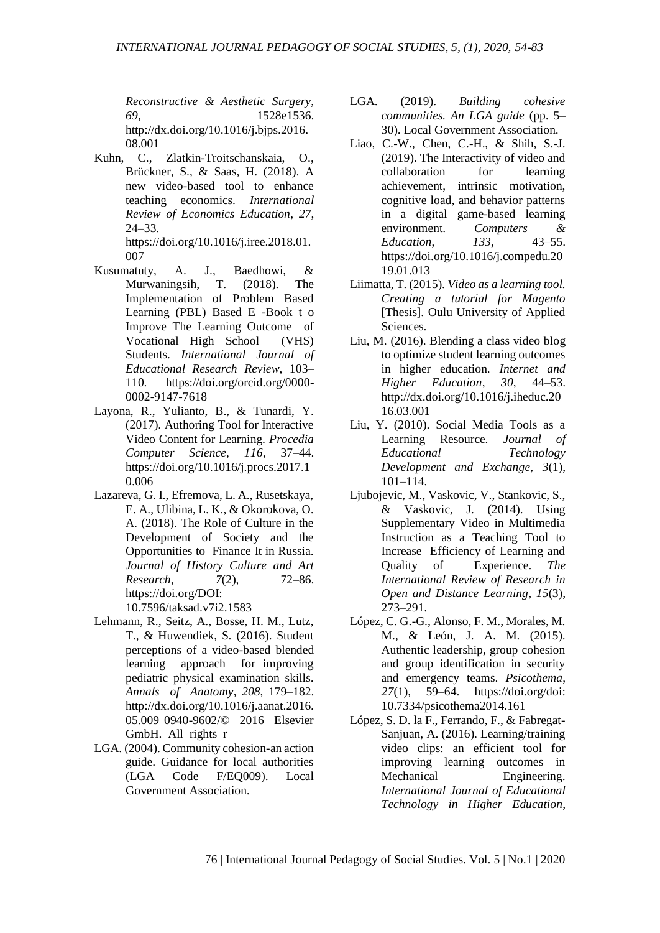*Reconstructive & Aesthetic Surgery*, *69*, 1528e1536. http://dx.doi.org/10.1016/j.bjps.2016. 08.001

Kuhn, C., Zlatkin-Troitschanskaia, O., Brückner, S., & Saas, H. (2018). A new video-based tool to enhance teaching economics. *International Review of Economics Education*, *27*, 24–33.

https://doi.org/10.1016/j.iree.2018.01. 007

- Kusumatuty, A. J., Baedhowi, & Murwaningsih, T. (2018). The Implementation of Problem Based Learning (PBL) Based E -Book t o Improve The Learning Outcome of Vocational High School (VHS) Students. *International Journal of Educational Research Review*, 103– 110. https://doi.org/orcid.org/0000- 0002-9147-7618
- Layona, R., Yulianto, B., & Tunardi, Y. (2017). Authoring Tool for Interactive Video Content for Learning. *Procedia Computer Science*, *116*, 37–44. https://doi.org/10.1016/j.procs.2017.1 0.006
- Lazareva, G. I., Efremova, L. A., Rusetskaya, E. A., Ulibina, L. K., & Okorokova, O. A. (2018). The Role of Culture in the Development of Society and the Opportunities to Finance It in Russia. *Journal of History Culture and Art Research*, *7*(2), 72–86. https://doi.org/DOI:

10.7596/taksad.v7i2.1583

- Lehmann, R., Seitz, A., Bosse, H. M., Lutz, T., & Huwendiek, S. (2016). Student perceptions of a video-based blended learning approach for improving pediatric physical examination skills. *Annals of Anatomy*, *208*, 179–182. http://dx.doi.org/10.1016/j.aanat.2016. 05.009 0940-9602/© 2016 Elsevier GmbH. All rights r
- LGA. (2004). Community cohesion-an action guide. Guidance for local authorities (LGA Code F/EQ009). Local Government Association.
- LGA. (2019). *Building cohesive communities. An LGA guide* (pp. 5– 30). Local Government Association.
- Liao, C.-W., Chen, C.-H., & Shih, S.-J. (2019). The Interactivity of video and collaboration for learning achievement, intrinsic motivation, cognitive load, and behavior patterns in a digital game-based learning environment. *Computers & Education*, *133*, 43–55. https://doi.org/10.1016/j.compedu.20 19.01.013
- Liimatta, T. (2015). *Video as a learning tool. Creating a tutorial for Magento* [Thesis]. Oulu University of Applied] Sciences.
- Liu, M. (2016). Blending a class video blog to optimize student learning outcomes in higher education. *Internet and Higher Education*, *30*, 44–53. http://dx.doi.org/10.1016/j.iheduc.20 16.03.001
- Liu, Y. (2010). Social Media Tools as a Learning Resource. *Journal of Educational Technology Development and Exchange*, *3*(1), 101–114.
- Ljubojevic, M., Vaskovic, V., Stankovic, S., & Vaskovic, J. (2014). Using Supplementary Video in Multimedia Instruction as a Teaching Tool to Increase Efficiency of Learning and Quality of Experience. *The International Review of Research in Open and Distance Learning*, *15*(3), 273–291.
- López, C. G.-G., Alonso, F. M., Morales, M. M., & León, J. A. M. (2015). Authentic leadership, group cohesion and group identification in security and emergency teams. *Psicothema*, *27*(1), 59–64. https://doi.org/doi: 10.7334/psicothema2014.161
- López, S. D. la F., Ferrando, F., & Fabregat-Sanjuan, A. (2016). Learning/training video clips: an efficient tool for improving learning outcomes in Mechanical Engineering. *International Journal of Educational Technology in Higher Education*,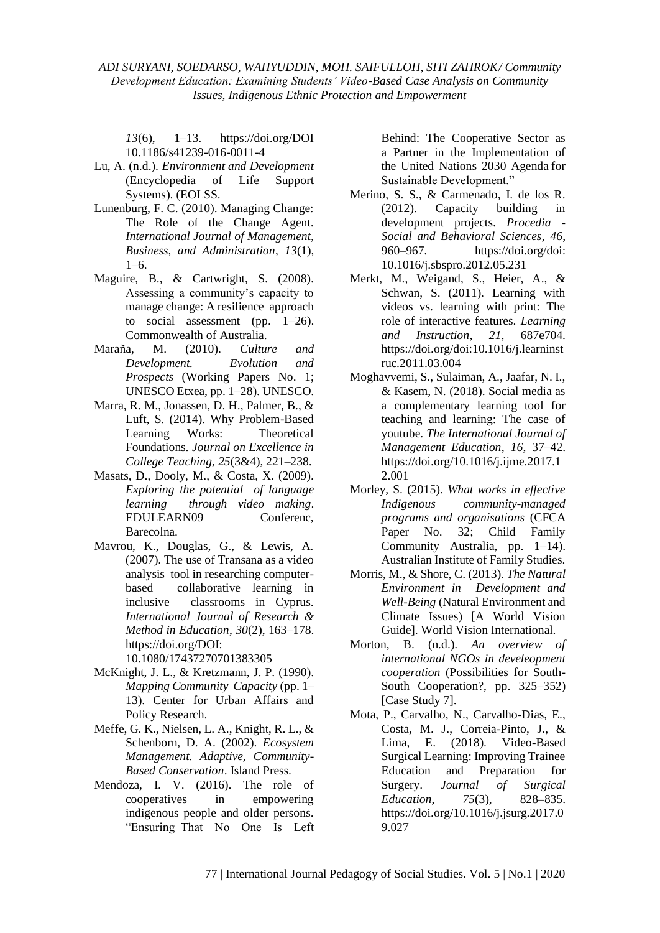*13*(6), 1–13. https://doi.org/DOI 10.1186/s41239-016-0011-4

- Lu, A. (n.d.). *Environment and Development* (Encyclopedia of Life Support Systems). (EOLSS.
- Lunenburg, F. C. (2010). Managing Change: The Role of the Change Agent. *International Journal of Management, Business, and Administration*, *13*(1),  $1-6.$
- Maguire, B., & Cartwright, S. (2008). Assessing a community's capacity to manage change: A resilience approach to social assessment (pp. 1–26). Commonwealth of Australia.
- Maraña, M. (2010). *Culture and Development. Evolution and Prospects* (Working Papers No. 1; UNESCO Etxea, pp. 1–28). UNESCO.
- Marra, R. M., Jonassen, D. H., Palmer, B., & Luft, S. (2014). Why Problem-Based Learning Works: Theoretical Foundations. *Journal on Excellence in College Teaching*, *25*(3&4), 221–238.
- Masats, D., Dooly, M., & Costa, X. (2009). *Exploring the potential of language learning through video making*. EDULEARN09 Conferenc, Barecolna.
- Mavrou, K., Douglas, G., & Lewis, A. (2007). The use of Transana as a video analysis tool in researching computerbased collaborative learning in inclusive classrooms in Cyprus. *International Journal of Research & Method in Education*, *30*(2), 163–178. https://doi.org/DOI: 10.1080/17437270701383305
- McKnight, J. L., & Kretzmann, J. P. (1990). *Mapping Community Capacity* (pp. 1– 13). Center for Urban Affairs and
- Policy Research. Meffe, G. K., Nielsen, L. A., Knight, R. L., & Schenborn, D. A. (2002). *Ecosystem Management. Adaptive, Community-Based Conservation*. Island Press.
- Mendoza, I. V. (2016). The role of cooperatives in empowering indigenous people and older persons. "Ensuring That No One Is Left

Behind: The Cooperative Sector as a Partner in the Implementation of the United Nations 2030 Agenda for Sustainable Development."

- Merino, S. S., & Carmenado, I. de los R. (2012). Capacity building in development projects. *Procedia - Social and Behavioral Sciences*, *46*, 960–967. https://doi.org/doi: 10.1016/j.sbspro.2012.05.231
- Merkt, M., Weigand, S., Heier, A., & Schwan, S. (2011). Learning with videos vs. learning with print: The role of interactive features. *Learning and Instruction*, *21*, 687e704. https://doi.org/doi:10.1016/j.learninst ruc.2011.03.004
- Moghavvemi, S., Sulaiman, A., Jaafar, N. I., & Kasem, N. (2018). Social media as a complementary learning tool for teaching and learning: The case of youtube. *The International Journal of Management Education*, *16*, 37–42. https://doi.org/10.1016/j.ijme.2017.1 2.001
- Morley, S. (2015). *What works in effective Indigenous community-managed programs and organisations* (CFCA Paper No. 32; Child Family Community Australia, pp. 1–14). Australian Institute of Family Studies.
- Morris, M., & Shore, C. (2013). *The Natural Environment in Development and Well-Being* (Natural Environment and Climate Issues) [A World Vision Guide]. World Vision International.
- Morton, B. (n.d.). *An overview of international NGOs in develeopment cooperation* (Possibilities for South-South Cooperation?, pp. 325–352) [Case Study 7].
- Mota, P., Carvalho, N., Carvalho-Dias, E., Costa, M. J., Correia-Pinto, J., & Lima, E. (2018). Video-Based Surgical Learning: Improving Trainee Education and Preparation for Surgery. *Journal of Surgical Education*, *75*(3), 828–835. https://doi.org/10.1016/j.jsurg.2017.0 9.027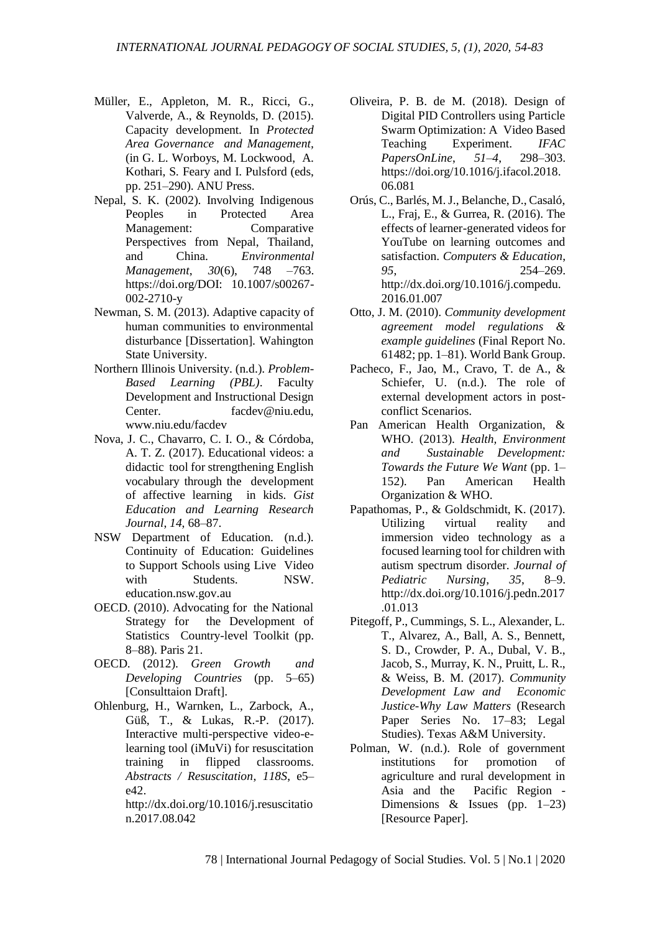- Müller, E., Appleton, M. R., Ricci, G., Valverde, A., & Reynolds, D. (2015). Capacity development. In *Protected Area Governance and Management,* (in G. L. Worboys, M. Lockwood, A. Kothari, S. Feary and I. Pulsford (eds, pp. 251–290). ANU Press.
- Nepal, S. K. (2002). Involving Indigenous Peoples in Protected Area Management: Comparative Perspectives from Nepal, Thailand, and China. *Environmental Management*, *30*(6), 748 –763. https://doi.org/DOI: 10.1007/s00267- 002-2710-y
- Newman, S. M. (2013). Adaptive capacity of human communities to environmental disturbance [Dissertation]. Wahington State University.
- Northern Illinois University. (n.d.). *Problem-Based Learning (PBL)*. Faculty Development and Instructional Design Center. facdev@niu.edu, www.niu.edu/facdev
- Nova, J. C., Chavarro, C. I. O., & Córdoba, A. T. Z. (2017). Educational videos: a didactic tool for strengthening English vocabulary through the development of affective learning in kids. *Gist Education and Learning Research Journal*, *14*, 68–87.
- NSW Department of Education. (n.d.). Continuity of Education: Guidelines to Support Schools using Live Video with Students. NSW. education.nsw.gov.au
- OECD. (2010). Advocating for the National Strategy for the Development of Statistics Country-level Toolkit (pp. 8–88). Paris 21.
- OECD. (2012). *Green Growth and Developing Countries* (pp. 5–65) [Consulttaion Draft].
- Ohlenburg, H., Warnken, L., Zarbock, A., Güß, T., & Lukas, R.-P. (2017). Interactive multi-perspective video-elearning tool (iMuVi) for resuscitation training in flipped classrooms. *Abstracts / Resuscitation*, *118S*, e5– e42.

http://dx.doi.org/10.1016/j.resuscitatio n.2017.08.042

- Oliveira, P. B. de M. (2018). Design of Digital PID Controllers using Particle Swarm Optimization: A Video Based Teaching Experiment. *IFAC PapersOnLine*, *51–4*, 298–303. https://doi.org/10.1016/j.ifacol.2018. 06.081
- Orús, C., Barlés, M. J., Belanche, D., Casaló, L., Fraj, E., & Gurrea, R. (2016). The effects of learner-generated videos for YouTube on learning outcomes and satisfaction. *Computers & Education*, *95*, 254–269. http://dx.doi.org/10.1016/j.compedu. 2016.01.007
- Otto, J. M. (2010). *Community development agreement model regulations & example guidelines* (Final Report No. 61482; pp. 1–81). World Bank Group.
- Pacheco, F., Jao, M., Cravo, T. de A., & Schiefer, U. (n.d.). The role of external development actors in postconflict Scenarios.
- Pan American Health Organization, & WHO. (2013). *Health, Environment and Sustainable Development: Towards the Future We Want* (pp. 1– 152). Pan American Health Organization & WHO.
- Papathomas, P., & Goldschmidt, K. (2017). Utilizing virtual reality and immersion video technology as a focused learning tool for children with autism spectrum disorder. *Journal of Pediatric Nursing*, *35*, 8–9. http://dx.doi.org/10.1016/j.pedn.2017 .01.013
- Pitegoff, P., Cummings, S. L., Alexander, L. T., Alvarez, A., Ball, A. S., Bennett, S. D., Crowder, P. A., Dubal, V. B., Jacob, S., Murray, K. N., Pruitt, L. R., & Weiss, B. M. (2017). *Community Development Law and Economic Justice-Why Law Matters* (Research Paper Series No. 17–83; Legal Studies). Texas A&M University.
- Polman, W. (n.d.). Role of government institutions for promotion of agriculture and rural development in Asia and the Pacific Region - Dimensions & Issues (pp.  $1-23$ ) [Resource Paper].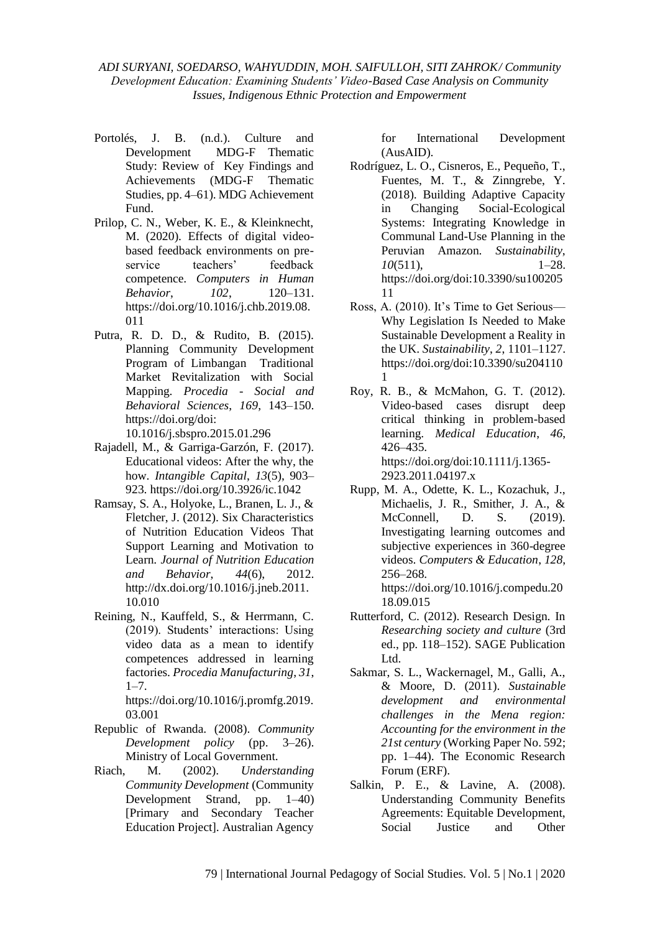- Portolés, J. B. (n.d.). Culture and Development MDG-F Thematic Study: Review of Key Findings and Achievements (MDG-F Thematic Studies, pp. 4–61). MDG Achievement Fund.
- Prilop, C. N., Weber, K. E., & Kleinknecht, M. (2020). Effects of digital videobased feedback environments on preservice teachers' feedback competence. *Computers in Human Behavior*, *102*, 120–131. https://doi.org/10.1016/j.chb.2019.08. 011
- Putra, R. D. D., & Rudito, B. (2015). Planning Community Development Program of Limbangan Traditional Market Revitalization with Social Mapping. *Procedia - Social and Behavioral Sciences*, *169*, 143–150. https://doi.org/doi:

10.1016/j.sbspro.2015.01.296

- Rajadell, M., & Garriga-Garzón, F. (2017). Educational videos: After the why, the how. *Intangible Capital*, *13*(5), 903– 923. https://doi.org/10.3926/ic.1042
- Ramsay, S. A., Holyoke, L., Branen, L. J., & Fletcher, J. (2012). Six Characteristics of Nutrition Education Videos That Support Learning and Motivation to Learn. *Journal of Nutrition Education and Behavior*, *44*(6), 2012. http://dx.doi.org/10.1016/j.jneb.2011. 10.010
- Reining, N., Kauffeld, S., & Herrmann, C. (2019). Students' interactions: Using video data as a mean to identify competences addressed in learning factories. *Procedia Manufacturing*, *31*,  $1 - 7$ .

https://doi.org/10.1016/j.promfg.2019. 03.001

- Republic of Rwanda. (2008). *Community Development policy* (pp. 3–26). Ministry of Local Government.
- Riach, M. (2002). *Understanding Community Development* (Community Development Strand, pp. 1–40) [Primary and Secondary Teacher Education Project]. Australian Agency

for International Development (AusAID).

- Rodríguez, L. O., Cisneros, E., Pequeño, T., Fuentes, M. T., & Zinngrebe, Y. (2018). Building Adaptive Capacity in Changing Social-Ecological Systems: Integrating Knowledge in Communal Land-Use Planning in the Peruvian Amazon. *Sustainability*, *10*(511), 1–28. https://doi.org/doi:10.3390/su100205 11
- Ross, A. (2010). It's Time to Get Serious— Why Legislation Is Needed to Make Sustainable Development a Reality in the UK. *Sustainability*, *2*, 1101–1127. https://doi.org/doi:10.3390/su204110 1
- Roy, R. B., & McMahon, G. T. (2012). Video-based cases disrupt deep critical thinking in problem-based learning. *Medical Education*, *46*, 426–435. https://doi.org/doi:10.1111/j.1365- 2923.2011.04197.x
- Rupp, M. A., Odette, K. L., Kozachuk, J., Michaelis, J. R., Smither, J. A., & McConnell, D. S. (2019). Investigating learning outcomes and subjective experiences in 360-degree videos. *Computers & Education*, *128*, 256–268. https://doi.org/10.1016/j.compedu.20

18.09.015 Rutterford, C. (2012). Research Design. In

- *Researching society and culture* (3rd ed., pp. 118–152). SAGE Publication Ltd.
- Sakmar, S. L., Wackernagel, M., Galli, A., & Moore, D. (2011). *Sustainable development and environmental challenges in the Mena region: Accounting for the environment in the 21st century* (Working Paper No. 592; pp. 1–44). The Economic Research Forum (ERF).
- Salkin, P. E., & Lavine, A. (2008). Understanding Community Benefits Agreements: Equitable Development, Social Justice and Other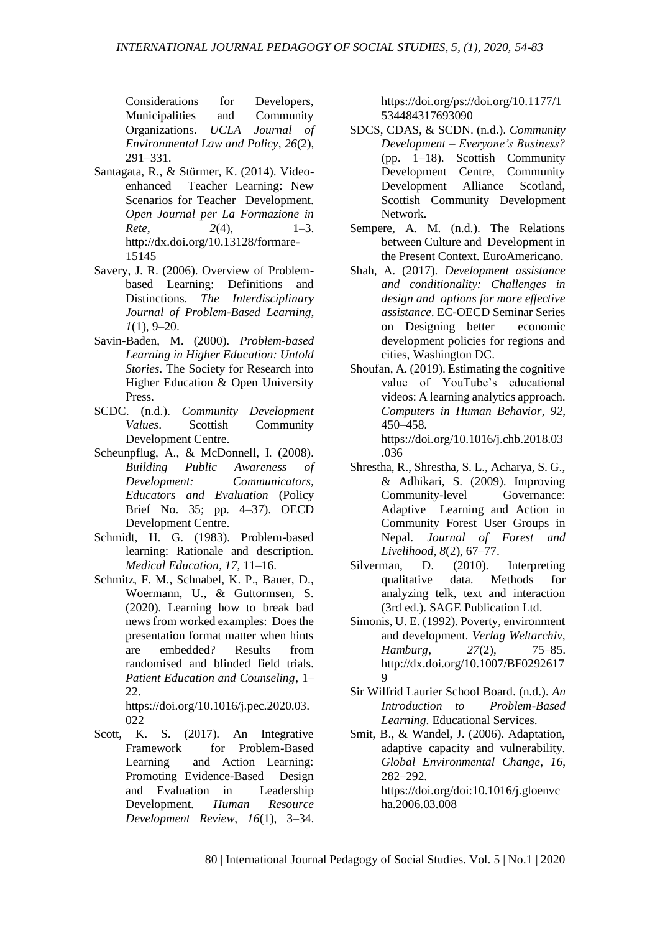Considerations for Developers, Municipalities and Community Organizations. *UCLA Journal of Environmental Law and Policy*, *26*(2), 291–331.

- Santagata, R., & Stürmer, K. (2014). Videoenhanced Teacher Learning: New Scenarios for Teacher Development. *Open Journal per La Formazione in Rete*, *2*(4), 1–3. http://dx.doi.org/10.13128/formare-15145
- Savery, J. R. (2006). Overview of Problembased Learning: Definitions and Distinctions. *The Interdisciplinary Journal of Problem-Based Learning*, *1*(1), 9–20.
- Savin-Baden, M. (2000). *Problem-based Learning in Higher Education: Untold Stories*. The Society for Research into Higher Education & Open University Press.
- SCDC. (n.d.). *Community Development Values*. Scottish Community Development Centre.
- Scheunpflug, A., & McDonnell, I. (2008). *Building Public Awareness of Development: Communicators, Educators and Evaluation* (Policy Brief No. 35; pp. 4–37). OECD Development Centre.
- Schmidt, H. G. (1983). Problem-based learning: Rationale and description. *Medical Education*, *17*, 11–16.
- Schmitz, F. M., Schnabel, K. P., Bauer, D., Woermann, U., & Guttormsen, S. (2020). Learning how to break bad news from worked examples: Does the presentation format matter when hints are embedded? Results from randomised and blinded field trials. *Patient Education and Counseling*, 1– 22.

https://doi.org/10.1016/j.pec.2020.03. 022

Scott, K. S. (2017). An Integrative Framework for Problem-Based Learning and Action Learning: Promoting Evidence-Based Design and Evaluation in Leadership Development. *Human Resource Development Review*, *16*(1), 3–34. https://doi.org/ps://doi.org/10.1177/1 534484317693090

- SDCS, CDAS, & SCDN. (n.d.). *Community Development – Everyone's Business?* (pp. 1–18). Scottish Community Development Centre, Community Development Alliance Scotland, Scottish Community Development Network.
- Sempere, A. M. (n.d.). The Relations between Culture and Development in the Present Context. EuroAmericano.
- Shah, A. (2017). *Development assistance and conditionality: Challenges in design and options for more effective assistance*. EC-OECD Seminar Series on Designing better economic development policies for regions and cities, Washington DC.
- Shoufan, A. (2019). Estimating the cognitive value of YouTube's educational videos: A learning analytics approach. *Computers in Human Behavior*, *92*, 450–458. https://doi.org/10.1016/j.chb.2018.03 .036
- Shrestha, R., Shrestha, S. L., Acharya, S. G., & Adhikari, S. (2009). Improving Community-level Governance: Adaptive Learning and Action in Community Forest User Groups in Nepal. *Journal of Forest and Livelihood*, *8*(2), 67–77.
- Silverman, D. (2010). Interpreting qualitative data. Methods for analyzing telk, text and interaction (3rd ed.). SAGE Publication Ltd.
- Simonis, U. E. (1992). Poverty, environment and development. *Verlag Weltarchiv, Hamburg*, *27*(2), 75–85. http://dx.doi.org/10.1007/BF0292617  $\mathbf Q$
- Sir Wilfrid Laurier School Board. (n.d.). *An Introduction to Problem-Based Learning*. Educational Services.
- Smit, B., & Wandel, J. (2006). Adaptation, adaptive capacity and vulnerability. *Global Environmental Change*, *16*, 282–292. https://doi.org/doi:10.1016/j.gloenvc ha.2006.03.008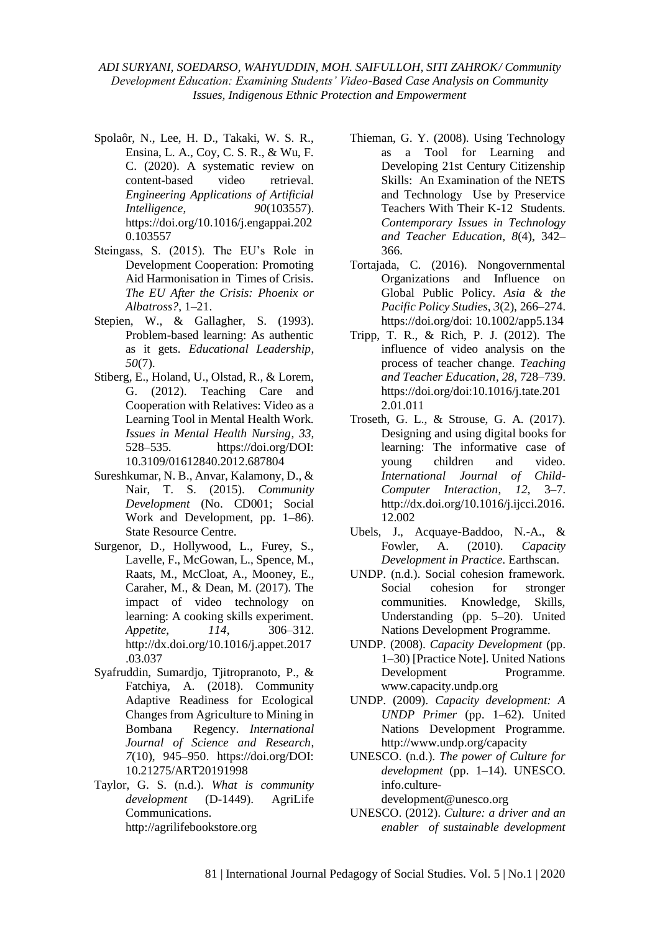- Spolaôr, N., Lee, H. D., Takaki, W. S. R., Ensina, L. A., Coy, C. S. R., & Wu, F. C. (2020). A systematic review on content-based video retrieval. *Engineering Applications of Artificial Intelligence*, *90*(103557). https://doi.org/10.1016/j.engappai.202 0.103557
- Steingass, S. (2015). The EU's Role in Development Cooperation: Promoting Aid Harmonisation in Times of Crisis. *The EU After the Crisis: Phoenix or Albatross?*, 1–21.
- Stepien, W., & Gallagher, S. (1993). Problem-based learning: As authentic as it gets. *Educational Leadership*, *50*(7).
- Stiberg, E., Holand, U., Olstad, R., & Lorem, G. (2012). Teaching Care and Cooperation with Relatives: Video as a Learning Tool in Mental Health Work. *Issues in Mental Health Nursing*, *33*, 528–535. https://doi.org/DOI: 10.3109/01612840.2012.687804
- Sureshkumar, N. B., Anvar, Kalamony, D., & Nair, T. S. (2015). *Community Development* (No. CD001; Social Work and Development, pp. 1–86). State Resource Centre.
- Surgenor, D., Hollywood, L., Furey, S., Lavelle, F., McGowan, L., Spence, M., Raats, M., McCloat, A., Mooney, E., Caraher, M., & Dean, M. (2017). The impact of video technology on learning: A cooking skills experiment. *Appetite*, *114*, 306–312. http://dx.doi.org/10.1016/j.appet.2017 .03.037
- Syafruddin, Sumardjo, Tjitropranoto, P., & Fatchiya, A. (2018). Community Adaptive Readiness for Ecological Changes from Agriculture to Mining in Bombana Regency. *International Journal of Science and Research*, *7*(10), 945–950. https://doi.org/DOI: 10.21275/ART20191998
- Taylor, G. S. (n.d.). *What is community development* (D-1449). AgriLife Communications. http://agrilifebookstore.org
- Thieman, G. Y. (2008). Using Technology as a Tool for Learning and Developing 21st Century Citizenship Skills: An Examination of the NETS and Technology Use by Preservice Teachers With Their K-12 Students. *Contemporary Issues in Technology and Teacher Education*, *8*(4), 342– 366.
- Tortajada, C. (2016). Nongovernmental Organizations and Influence on Global Public Policy. *Asia & the Pacific Policy Studies*, *3*(2), 266–274. https://doi.org/doi: 10.1002/app5.134
- Tripp, T. R., & Rich, P. J. (2012). The influence of video analysis on the process of teacher change. *Teaching and Teacher Education*, *28*, 728–739. https://doi.org/doi:10.1016/j.tate.201 2.01.011
- Troseth, G. L., & Strouse, G. A. (2017). Designing and using digital books for learning: The informative case of young children and video. *International Journal of Child-Computer Interaction*, *12*, 3–7. http://dx.doi.org/10.1016/j.ijcci.2016. 12.002
- Ubels, J., Acquaye-Baddoo, N.-A., & Fowler, A. (2010). *Capacity Development in Practice*. Earthscan.
- UNDP. (n.d.). Social cohesion framework. Social cohesion for stronger communities. Knowledge, Skills, Understanding (pp. 5–20). United Nations Development Programme.
- UNDP. (2008). *Capacity Development* (pp. 1–30) [Practice Note]. United Nations Development Programme. www.capacity.undp.org
- UNDP. (2009). *Capacity development: A UNDP Primer* (pp. 1–62). United Nations Development Programme. http://www.undp.org/capacity
- UNESCO. (n.d.). *The power of Culture for development* (pp. 1–14). UNESCO. info.culture
	- development@unesco.org
- UNESCO. (2012). *Culture: a driver and an enabler of sustainable development*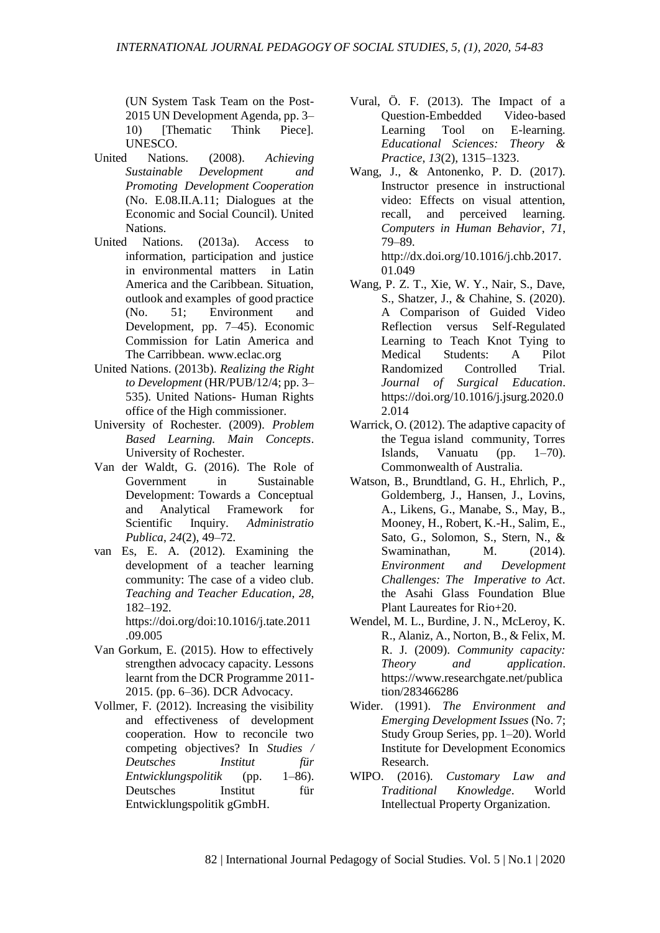(UN System Task Team on the Post-2015 UN Development Agenda, pp. 3– 10) IThematic Think Piecel. UNESCO.

- United Nations. (2008). *Achieving Sustainable Development and Promoting Development Cooperation* (No. E.08.II.A.11; Dialogues at the Economic and Social Council). United Nations.
- United Nations. (2013a). Access to information, participation and justice in environmental matters in Latin America and the Caribbean. Situation, outlook and examples of good practice (No. 51; Environment and Development, pp. 7–45). Economic Commission for Latin America and The Carribbean. www.eclac.org
- United Nations. (2013b). *Realizing the Right to Development* (HR/PUB/12/4; pp. 3– 535). United Nations- Human Rights office of the High commissioner.
- University of Rochester. (2009). *Problem Based Learning. Main Concepts*. University of Rochester.
- Van der Waldt, G. (2016). The Role of Government in Sustainable Development: Towards a Conceptual and Analytical Framework for Scientific Inquiry. *Administratio Publica*, *24*(2), 49–72.
- van Es, E. A. (2012). Examining the development of a teacher learning community: The case of a video club. *Teaching and Teacher Education*, *28*, 182–192.

https://doi.org/doi:10.1016/j.tate.2011 .09.005

- Van Gorkum, E. (2015). How to effectively strengthen advocacy capacity. Lessons learnt from the DCR Programme 2011- 2015. (pp. 6–36). DCR Advocacy.
- Vollmer, F. (2012). Increasing the visibility and effectiveness of development cooperation. How to reconcile two competing objectives? In *Studies / Deutsches Institut für Entwicklungspolitik* (pp. 1–86). Deutsches Institut für Entwicklungspolitik gGmbH.
- Vural, Ö. F. (2013). The Impact of a Question-Embedded Video-based Learning Tool on E-learning. *Educational Sciences: Theory & Practice*, *13*(2), 1315–1323.
- Wang, J., & Antonenko, P. D. (2017). Instructor presence in instructional video: Effects on visual attention, recall, and perceived learning. *Computers in Human Behavior*, *71*, 79–89. http://dx.doi.org/10.1016/j.chb.2017.
- 01.049 Wang, P. Z. T., Xie, W. Y., Nair, S., Dave, S., Shatzer, J., & Chahine, S. (2020). A Comparison of Guided Video
- Reflection versus Self-Regulated Learning to Teach Knot Tying to Medical Students: A Pilot Randomized Controlled Trial. *Journal of Surgical Education*. https://doi.org/10.1016/j.jsurg.2020.0 2.014
- Warrick, O. (2012). The adaptive capacity of the Tegua island community, Torres Islands, Vanuatu (pp. 1–70). Commonwealth of Australia.
- Watson, B., Brundtland, G. H., Ehrlich, P., Goldemberg, J., Hansen, J., Lovins, A., Likens, G., Manabe, S., May, B., Mooney, H., Robert, K.-H., Salim, E., Sato, G., Solomon, S., Stern, N., & Swaminathan, M. (2014). *Environment and Development Challenges: The Imperative to Act*. the Asahi Glass Foundation Blue Plant Laureates for Rio+20.
- Wendel, M. L., Burdine, J. N., McLeroy, K. R., Alaniz, A., Norton, B., & Felix, M. R. J. (2009). *Community capacity: Theory and application*. https://www.researchgate.net/publica tion/283466286
- Wider. (1991). *The Environment and Emerging Development Issues* (No. 7; Study Group Series, pp. 1–20). World Institute for Development Economics
- Research.<br>WIPO. (2016). Customary Law and *Traditional Knowledge*. World Intellectual Property Organization.